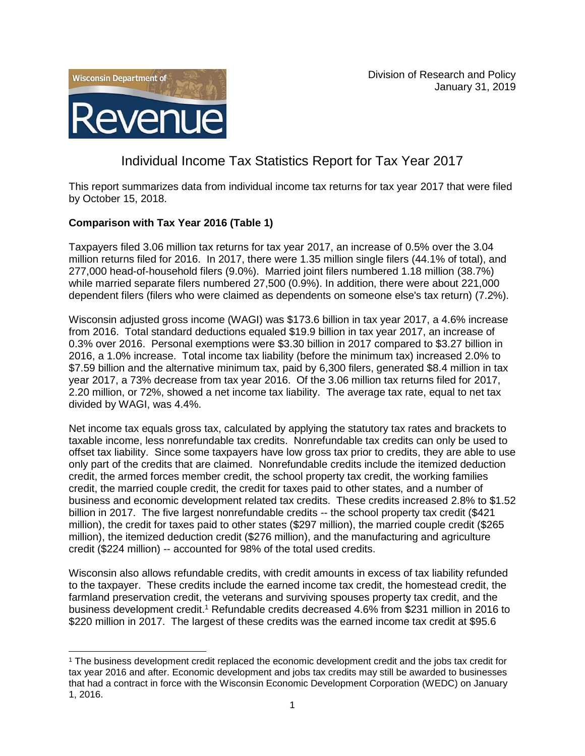



# Individual Income Tax Statistics Report for Tax Year 2017

This report summarizes data from individual income tax returns for tax year 2017 that were filed by October 15, 2018.

# **Comparison with Tax Year 2016 (Table 1)**

l

Taxpayers filed 3.06 million tax returns for tax year 2017, an increase of 0.5% over the 3.04 million returns filed for 2016. In 2017, there were 1.35 million single filers (44.1% of total), and 277,000 head-of-household filers (9.0%). Married joint filers numbered 1.18 million (38.7%) while married separate filers numbered 27,500 (0.9%). In addition, there were about 221,000 dependent filers (filers who were claimed as dependents on someone else's tax return) (7.2%).

Wisconsin adjusted gross income (WAGI) was \$173.6 billion in tax year 2017, a 4.6% increase from 2016. Total standard deductions equaled \$19.9 billion in tax year 2017, an increase of 0.3% over 2016. Personal exemptions were \$3.30 billion in 2017 compared to \$3.27 billion in 2016, a 1.0% increase. Total income tax liability (before the minimum tax) increased 2.0% to \$7.59 billion and the alternative minimum tax, paid by 6,300 filers, generated \$8.4 million in tax year 2017, a 73% decrease from tax year 2016. Of the 3.06 million tax returns filed for 2017, 2.20 million, or 72%, showed a net income tax liability. The average tax rate, equal to net tax divided by WAGI, was 4.4%.

Net income tax equals gross tax, calculated by applying the statutory tax rates and brackets to taxable income, less nonrefundable tax credits. Nonrefundable tax credits can only be used to offset tax liability. Since some taxpayers have low gross tax prior to credits, they are able to use only part of the credits that are claimed. Nonrefundable credits include the itemized deduction credit, the armed forces member credit, the school property tax credit, the working families credit, the married couple credit, the credit for taxes paid to other states, and a number of business and economic development related tax credits. These credits increased 2.8% to \$1.52 billion in 2017. The five largest nonrefundable credits -- the school property tax credit (\$421 million), the credit for taxes paid to other states (\$297 million), the married couple credit (\$265 million), the itemized deduction credit (\$276 million), and the manufacturing and agriculture credit (\$224 million) -- accounted for 98% of the total used credits.

Wisconsin also allows refundable credits, with credit amounts in excess of tax liability refunded to the taxpayer. These credits include the earned income tax credit, the homestead credit, the farmland preservation credit, the veterans and surviving spouses property tax credit, and the business development credit.<sup>1</sup> Refundable credits decreased 4.6% from \$231 million in 2016 to \$220 million in 2017. The largest of these credits was the earned income tax credit at \$95.6

<sup>1</sup> The business development credit replaced the economic development credit and the jobs tax credit for tax year 2016 and after. Economic development and jobs tax credits may still be awarded to businesses that had a contract in force with the Wisconsin Economic Development Corporation (WEDC) on January 1, 2016.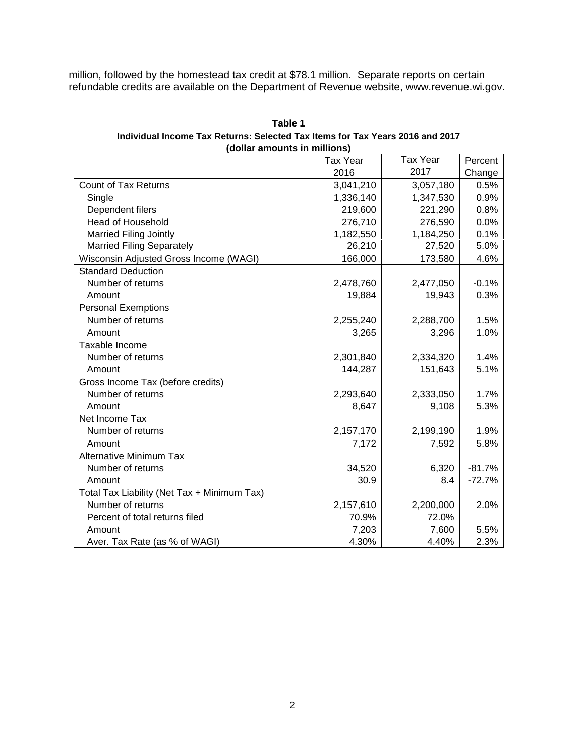million, followed by the homestead tax credit at \$78.1 million. Separate reports on certain refundable credits are available on the Department of Revenue website, www.revenue.wi.gov.

| Table 1                                                                       |  |  |
|-------------------------------------------------------------------------------|--|--|
| Individual Income Tax Returns: Selected Tax Items for Tax Years 2016 and 2017 |  |  |
| (dollar amounts in millions)                                                  |  |  |
|                                                                               |  |  |

|                                             | <b>Tax Year</b> | <b>Tax Year</b> | Percent  |
|---------------------------------------------|-----------------|-----------------|----------|
|                                             | 2016            | 2017            | Change   |
| <b>Count of Tax Returns</b>                 | 3,041,210       | 3,057,180       | 0.5%     |
| Single                                      | 1,336,140       | 1,347,530       | 0.9%     |
| Dependent filers                            | 219,600         | 221,290         | 0.8%     |
| <b>Head of Household</b>                    | 276,710         | 276,590         | 0.0%     |
| <b>Married Filing Jointly</b>               | 1,182,550       | 1,184,250       | 0.1%     |
| <b>Married Filing Separately</b>            | 26,210          | 27,520          | 5.0%     |
| Wisconsin Adjusted Gross Income (WAGI)      | 166,000         | 173,580         | 4.6%     |
| <b>Standard Deduction</b>                   |                 |                 |          |
| Number of returns                           | 2,478,760       | 2,477,050       | $-0.1%$  |
| Amount                                      | 19,884          | 19,943          | 0.3%     |
| <b>Personal Exemptions</b>                  |                 |                 |          |
| Number of returns                           | 2,255,240       | 2,288,700       | 1.5%     |
| Amount                                      | 3,265           | 3,296           | 1.0%     |
| Taxable Income                              |                 |                 |          |
| Number of returns                           | 2,301,840       | 2,334,320       | 1.4%     |
| Amount                                      | 144,287         | 151,643         | 5.1%     |
| Gross Income Tax (before credits)           |                 |                 |          |
| Number of returns                           | 2,293,640       | 2,333,050       | 1.7%     |
| Amount                                      | 8,647           | 9,108           | 5.3%     |
| Net Income Tax                              |                 |                 |          |
| Number of returns                           | 2,157,170       | 2,199,190       | 1.9%     |
| Amount                                      | 7,172           | 7,592           | 5.8%     |
| <b>Alternative Minimum Tax</b>              |                 |                 |          |
| Number of returns                           | 34,520          | 6,320           | $-81.7%$ |
| Amount                                      | 30.9            | 8.4             | $-72.7%$ |
| Total Tax Liability (Net Tax + Minimum Tax) |                 |                 |          |
| Number of returns                           | 2,157,610       | 2,200,000       | 2.0%     |
| Percent of total returns filed              | 70.9%           | 72.0%           |          |
| Amount                                      | 7,203           | 7,600           | 5.5%     |
| Aver. Tax Rate (as % of WAGI)               | 4.30%           | 4.40%           | 2.3%     |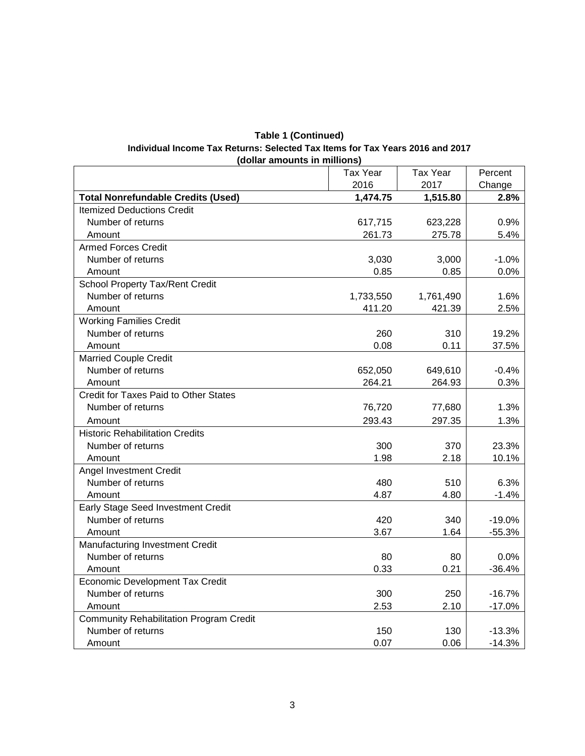| <b>Table 1 (Continued)</b>                                                    |  |  |  |  |  |
|-------------------------------------------------------------------------------|--|--|--|--|--|
| Individual Income Tax Returns: Selected Tax Items for Tax Years 2016 and 2017 |  |  |  |  |  |
| (dollar amounts in millions)                                                  |  |  |  |  |  |

|                                                | <b>Tax Year</b> | <b>Tax Year</b> | Percent  |
|------------------------------------------------|-----------------|-----------------|----------|
|                                                | 2016            | 2017            | Change   |
| <b>Total Nonrefundable Credits (Used)</b>      | 1,474.75        | 1,515.80        | 2.8%     |
| <b>Itemized Deductions Credit</b>              |                 |                 |          |
| Number of returns                              | 617,715         | 623,228         | 0.9%     |
| Amount                                         | 261.73          | 275.78          | 5.4%     |
| <b>Armed Forces Credit</b>                     |                 |                 |          |
| Number of returns                              | 3,030           | 3,000           | $-1.0%$  |
| Amount                                         | 0.85            | 0.85            | 0.0%     |
| School Property Tax/Rent Credit                |                 |                 |          |
| Number of returns                              | 1,733,550       | 1,761,490       | 1.6%     |
| Amount                                         | 411.20          | 421.39          | 2.5%     |
| <b>Working Families Credit</b>                 |                 |                 |          |
| Number of returns                              | 260             | 310             | 19.2%    |
| Amount                                         | 0.08            | 0.11            | 37.5%    |
| <b>Married Couple Credit</b>                   |                 |                 |          |
| Number of returns                              | 652,050         | 649,610         | $-0.4%$  |
| Amount                                         | 264.21          | 264.93          | 0.3%     |
| Credit for Taxes Paid to Other States          |                 |                 |          |
| Number of returns                              | 76,720          | 77,680          | 1.3%     |
| Amount                                         | 293.43          | 297.35          | 1.3%     |
| <b>Historic Rehabilitation Credits</b>         |                 |                 |          |
| Number of returns                              | 300             | 370             | 23.3%    |
| Amount                                         | 1.98            | 2.18            | 10.1%    |
| Angel Investment Credit                        |                 |                 |          |
| Number of returns                              | 480             | 510             | 6.3%     |
| Amount                                         | 4.87            | 4.80            | $-1.4%$  |
| Early Stage Seed Investment Credit             |                 |                 |          |
| Number of returns                              | 420             | 340             | $-19.0%$ |
| Amount                                         | 3.67            | 1.64            | $-55.3%$ |
| Manufacturing Investment Credit                |                 |                 |          |
| Number of returns                              | 80              | 80              | 0.0%     |
| Amount                                         | 0.33            | 0.21            | $-36.4%$ |
| <b>Economic Development Tax Credit</b>         |                 |                 |          |
| Number of returns                              | 300             | 250             | $-16.7%$ |
| Amount                                         | 2.53            | 2.10            | $-17.0%$ |
| <b>Community Rehabilitation Program Credit</b> |                 |                 |          |
| Number of returns                              | 150             | 130             | $-13.3%$ |
| Amount                                         | 0.07            | 0.06            | $-14.3%$ |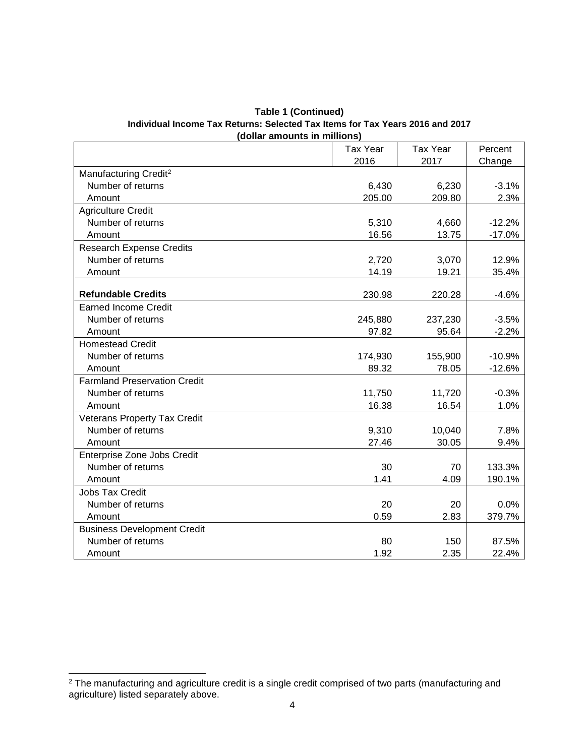| <b>Table 1 (Continued)</b>                                                    |  |  |
|-------------------------------------------------------------------------------|--|--|
| Individual Income Tax Returns: Selected Tax Items for Tax Years 2016 and 2017 |  |  |
| (dollar amounts in millions)                                                  |  |  |
|                                                                               |  |  |

|                                     | <b>Tax Year</b> | <b>Tax Year</b> | Percent  |
|-------------------------------------|-----------------|-----------------|----------|
|                                     | 2016            | 2017            | Change   |
| Manufacturing Credit <sup>2</sup>   |                 |                 |          |
| Number of returns                   | 6,430           | 6,230           | $-3.1%$  |
| Amount                              | 205.00          | 209.80          | 2.3%     |
| <b>Agriculture Credit</b>           |                 |                 |          |
| Number of returns                   | 5,310           | 4,660           | $-12.2%$ |
| Amount                              | 16.56           | 13.75           | $-17.0%$ |
| <b>Research Expense Credits</b>     |                 |                 |          |
| Number of returns                   | 2,720           | 3,070           | 12.9%    |
| Amount                              | 14.19           | 19.21           | 35.4%    |
|                                     |                 |                 |          |
| <b>Refundable Credits</b>           | 230.98          | 220.28          | $-4.6%$  |
| <b>Earned Income Credit</b>         |                 |                 |          |
| Number of returns                   | 245,880         | 237,230         | $-3.5%$  |
| Amount                              | 97.82           | 95.64           | $-2.2%$  |
| <b>Homestead Credit</b>             |                 |                 |          |
| Number of returns                   | 174,930         | 155,900         | $-10.9%$ |
| Amount                              | 89.32           | 78.05           | $-12.6%$ |
| <b>Farmland Preservation Credit</b> |                 |                 |          |
| Number of returns                   | 11,750          | 11,720          | $-0.3%$  |
| Amount                              | 16.38           | 16.54           | 1.0%     |
| <b>Veterans Property Tax Credit</b> |                 |                 |          |
| Number of returns                   | 9,310           | 10,040          | 7.8%     |
| Amount                              | 27.46           | 30.05           | 9.4%     |
| Enterprise Zone Jobs Credit         |                 |                 |          |
| Number of returns                   | 30              | 70              | 133.3%   |
| Amount                              | 1.41            | 4.09            | 190.1%   |
| <b>Jobs Tax Credit</b>              |                 |                 |          |
| Number of returns                   | 20              | 20              | 0.0%     |
| Amount                              | 0.59            | 2.83            | 379.7%   |
| <b>Business Development Credit</b>  |                 |                 |          |
| Number of returns                   | 80              | 150             | 87.5%    |
| Amount                              | 1.92            | 2.35            | 22.4%    |

l

 $^2$  The manufacturing and agriculture credit is a single credit comprised of two parts (manufacturing and agriculture) listed separately above.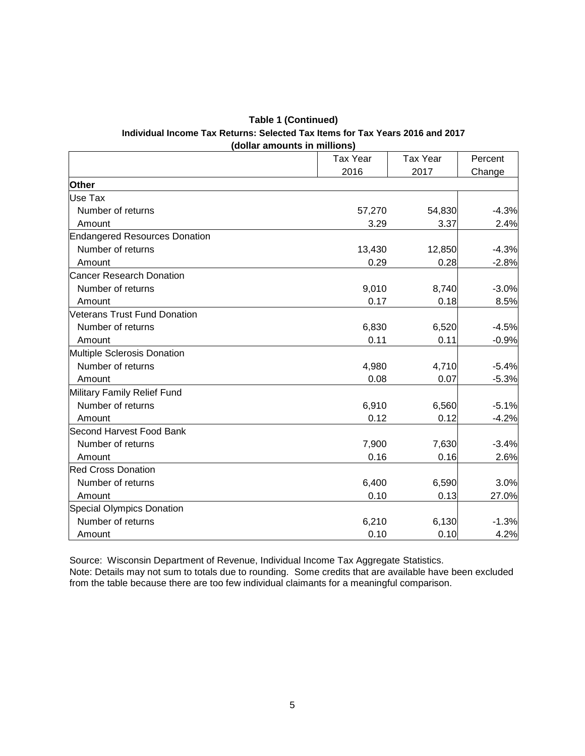#### **Table 1 (Continued) Individual Income Tax Returns: Selected Tax Items for Tax Years 2016 and 2017 (dollar amounts in millions)**

|                                      | <b>Tax Year</b> | <b>Tax Year</b> | Percent |
|--------------------------------------|-----------------|-----------------|---------|
|                                      | 2016            | 2017            | Change  |
| Other                                |                 |                 |         |
| Use Tax                              |                 |                 |         |
| Number of returns                    | 57,270          | 54,830          | $-4.3%$ |
| Amount                               | 3.29            | 3.37            | 2.4%    |
| <b>Endangered Resources Donation</b> |                 |                 |         |
| Number of returns                    | 13,430          | 12,850          | $-4.3%$ |
| Amount                               | 0.29            | 0.28            | $-2.8%$ |
| Cancer Research Donation             |                 |                 |         |
| Number of returns                    | 9,010           | 8,740           | $-3.0%$ |
| Amount                               | 0.17            | 0.18            | 8.5%    |
| Veterans Trust Fund Donation         |                 |                 |         |
| Number of returns                    | 6,830           | 6,520           | $-4.5%$ |
| Amount                               | 0.11            | 0.11            | $-0.9%$ |
| Multiple Sclerosis Donation          |                 |                 |         |
| Number of returns                    | 4,980           | 4,710           | $-5.4%$ |
| Amount                               | 0.08            | 0.07            | $-5.3%$ |
| Military Family Relief Fund          |                 |                 |         |
| Number of returns                    | 6,910           | 6,560           | $-5.1%$ |
| Amount                               | 0.12            | 0.12            | $-4.2%$ |
| Second Harvest Food Bank             |                 |                 |         |
| Number of returns                    | 7,900           | 7,630           | $-3.4%$ |
| Amount                               | 0.16            | 0.16            | 2.6%    |
| <b>Red Cross Donation</b>            |                 |                 |         |
| Number of returns                    | 6,400           | 6,590           | 3.0%    |
| Amount                               | 0.10            | 0.13            | 27.0%   |
| Special Olympics Donation            |                 |                 |         |
| Number of returns                    | 6,210           | 6,130           | $-1.3%$ |
| Amount                               | 0.10            | 0.10            | 4.2%    |

Source: Wisconsin Department of Revenue, Individual Income Tax Aggregate Statistics. Note: Details may not sum to totals due to rounding. Some credits that are available have been excluded from the table because there are too few individual claimants for a meaningful comparison.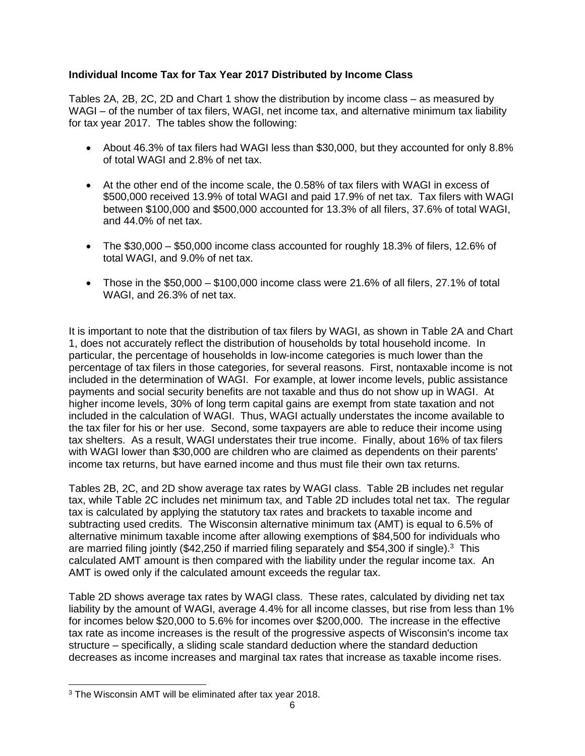# **Individual Income Tax for Tax Year 2017 Distributed by Income Class**

Tables 2A, 2B, 2C, 2D and Chart 1 show the distribution by income class – as measured by WAGI – of the number of tax filers, WAGI, net income tax, and alternative minimum tax liability for tax year 2017. The tables show the following:

- About 46.3% of tax filers had WAGI less than \$30,000, but they accounted for only 8.8% of total WAGI and 2.8% of net tax.
- At the other end of the income scale, the 0.58% of tax filers with WAGI in excess of \$500,000 received 13.9% of total WAGI and paid 17.9% of net tax. Tax filers with WAGI between \$100,000 and \$500,000 accounted for 13.3% of all filers, 37.6% of total WAGI, and 44.0% of net tax.
- The \$30,000 \$50,000 income class accounted for roughly 18.3% of filers, 12.6% of total WAGI, and 9.0% of net tax.
- Those in the  $$50,000 $100,000$  income class were 21.6% of all filers, 27.1% of total WAGI, and 26.3% of net tax.

It is important to note that the distribution of tax filers by WAGI, as shown in Table 2A and Chart 1, does not accurately reflect the distribution of households by total household income. In particular, the percentage of households in low-income categories is much lower than the percentage of tax filers in those categories, for several reasons. First, nontaxable income is not included in the determination of WAGI. For example, at lower income levels, public assistance payments and social security benefits are not taxable and thus do not show up in WAGI. At higher income levels, 30% of long term capital gains are exempt from state taxation and not included in the calculation of WAGI. Thus, WAGI actually understates the income available to the tax filer for his or her use. Second, some taxpayers are able to reduce their income using tax shelters. As a result, WAGI understates their true income. Finally, about 16% of tax filers with WAGI lower than \$30,000 are children who are claimed as dependents on their parents' income tax returns, but have earned income and thus must file their own tax returns.

Tables 2B, 2C, and 2D show average tax rates by WAGI class. Table 2B includes net regular tax, while Table 2C includes net minimum tax, and Table 2D includes total net tax. The regular tax is calculated by applying the statutory tax rates and brackets to taxable income and subtracting used credits. The Wisconsin alternative minimum tax (AMT) is equal to 6.5% of alternative minimum taxable income after allowing exemptions of \$84,500 for individuals who are married filing jointly (\$42,250 if married filing separately and \$54,300 if single).<sup>3</sup> This calculated AMT amount is then compared with the liability under the regular income tax. An AMT is owed only if the calculated amount exceeds the regular tax.

Table 2D shows average tax rates by WAGI class. These rates, calculated by dividing net tax liability by the amount of WAGI, average 4.4% for all income classes, but rise from less than 1% for incomes below \$20,000 to 5.6% for incomes over \$200,000. The increase in the effective tax rate as income increases is the result of the progressive aspects of Wisconsin's income tax structure – specifically, a sliding scale standard deduction where the standard deduction decreases as income increases and marginal tax rates that increase as taxable income rises.

l

<sup>3</sup> The Wisconsin AMT will be eliminated after tax year 2018.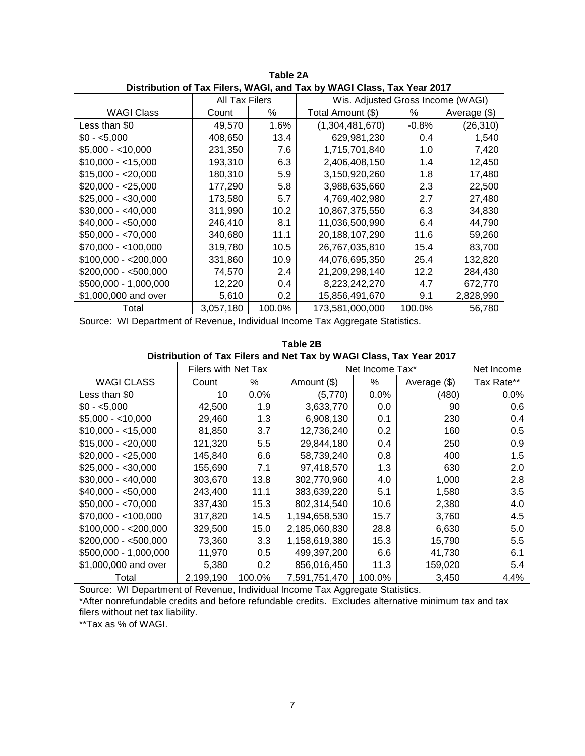|                       |                |        | DISTINGUIDII OF FAX FIICIS, WAGI, ANG FAX DY WAGI GASS, FAX TEAL ZUTT |         |              |  |
|-----------------------|----------------|--------|-----------------------------------------------------------------------|---------|--------------|--|
|                       | All Tax Filers |        | Wis. Adjusted Gross Income (WAGI)                                     |         |              |  |
| <b>WAGI Class</b>     | Count          | ℅      | Total Amount (\$)                                                     | ℅       | Average (\$) |  |
| Less than \$0         | 49,570         | 1.6%   | (1,304,481,670)                                                       | $-0.8%$ | (26, 310)    |  |
| $$0 - 5,000$          | 408,650        | 13.4   | 629,981,230                                                           | 0.4     | 1,540        |  |
| $$5,000 - <10,000$    | 231,350        | 7.6    | 1,715,701,840                                                         | 1.0     | 7,420        |  |
| $$10,000 - < 15,000$  | 193,310        | 6.3    | 2,406,408,150                                                         | 1.4     | 12,450       |  |
| $$15,000 - $20,000$   | 180,310        | 5.9    | 3,150,920,260                                                         | 1.8     | 17,480       |  |
| $$20,000 - $25,000$   | 177,290        | 5.8    | 3,988,635,660                                                         | 2.3     | 22,500       |  |
| $$25,000 - $30,000$   | 173,580        | 5.7    | 4,769,402,980                                                         | 2.7     | 27,480       |  |
| $$30,000 - $40,000$   | 311,990        | 10.2   | 10,867,375,550                                                        | 6.3     | 34,830       |  |
| $$40,000 - $50,000$   | 246,410        | 8.1    | 11,036,500,990                                                        | 6.4     | 44,790       |  |
| $$50,000 - $70,000$   | 340,680        | 11.1   | 20,188,107,290                                                        | 11.6    | 59,260       |  |
| $$70,000 - < 100,000$ | 319,780        | 10.5   | 26,767,035,810                                                        | 15.4    | 83,700       |  |
| $$100,000 - $200,000$ | 331,860        | 10.9   | 44,076,695,350                                                        | 25.4    | 132,820      |  |
| $$200,000 - $500,000$ | 74,570         | 2.4    | 21,209,298,140                                                        | 12.2    | 284,430      |  |
| \$500,000 - 1,000,000 | 12,220         | 0.4    | 8,223,242,270                                                         | 4.7     | 672,770      |  |
| \$1,000,000 and over  | 5,610          | 0.2    | 15,856,491,670                                                        | 9.1     | 2,828,990    |  |
| Total                 | 3,057,180      | 100.0% | 173,581,000,000                                                       | 100.0%  | 56,780       |  |

**Table 2A Distribution of Tax Filers, WAGI, and Tax by WAGI Class, Tax Year 2017**

|                                                                     | Table 2B |  |
|---------------------------------------------------------------------|----------|--|
| Distribution of Tax Filers and Net Tax by WAGI Class, Tax Year 2017 |          |  |

|                       | <b>Filers with Net Tax</b> |        | Net Income Tax* |        | Net Income   |            |
|-----------------------|----------------------------|--------|-----------------|--------|--------------|------------|
| <b>WAGI CLASS</b>     | Count                      | $\%$   | Amount (\$)     | ℅      | Average (\$) | Tax Rate** |
| Less than \$0         | 10                         | 0.0%   | (5,770)         | 0.0%   | (480)        | 0.0%       |
| $$0 - 5,000$          | 42,500                     | 1.9    | 3,633,770       | 0.0    | 90           | 0.6        |
| $$5.000 - 10.000$     | 29,460                     | 1.3    | 6,908,130       | 0.1    | 230          | 0.4        |
| $$10,000 - 15,000$    | 81,850                     | 3.7    | 12,736,240      | 0.2    | 160          | 0.5        |
| $$15,000 - 20,000$    | 121,320                    | 5.5    | 29,844,180      | 0.4    | 250          | 0.9        |
| $$20,000 - $25,000$   | 145,840                    | 6.6    | 58,739,240      | 0.8    | 400          | 1.5        |
| $$25,000 - $30,000$   | 155,690                    | 7.1    | 97,418,570      | 1.3    | 630          | 2.0        |
| $$30,000 - $40,000$   | 303,670                    | 13.8   | 302,770,960     | 4.0    | 1,000        | 2.8        |
| $$40,000 - $50,000$   | 243,400                    | 11.1   | 383,639,220     | 5.1    | 1,580        | 3.5        |
| $$50,000 - $70,000$   | 337,430                    | 15.3   | 802,314,540     | 10.6   | 2,380        | 4.0        |
| $$70,000 - < 100,000$ | 317,820                    | 14.5   | 1,194,658,530   | 15.7   | 3,760        | 4.5        |
| $$100,000 - $200,000$ | 329,500                    | 15.0   | 2,185,060,830   | 28.8   | 6,630        | 5.0        |
| $$200,000 - $500,000$ | 73,360                     | 3.3    | 1,158,619,380   | 15.3   | 15,790       | 5.5        |
| \$500,000 - 1,000,000 | 11,970                     | 0.5    | 499,397,200     | 6.6    | 41,730       | 6.1        |
| \$1,000,000 and over  | 5,380                      | 0.2    | 856,016,450     | 11.3   | 159,020      | 5.4        |
| Total                 | 2,199,190                  | 100.0% | 7,591,751,470   | 100.0% | 3,450        | 4.4%       |

Source: WI Department of Revenue, Individual Income Tax Aggregate Statistics.

\*After nonrefundable credits and before refundable credits. Excludes alternative minimum tax and tax filers without net tax liability.

\*\*Tax as % of WAGI.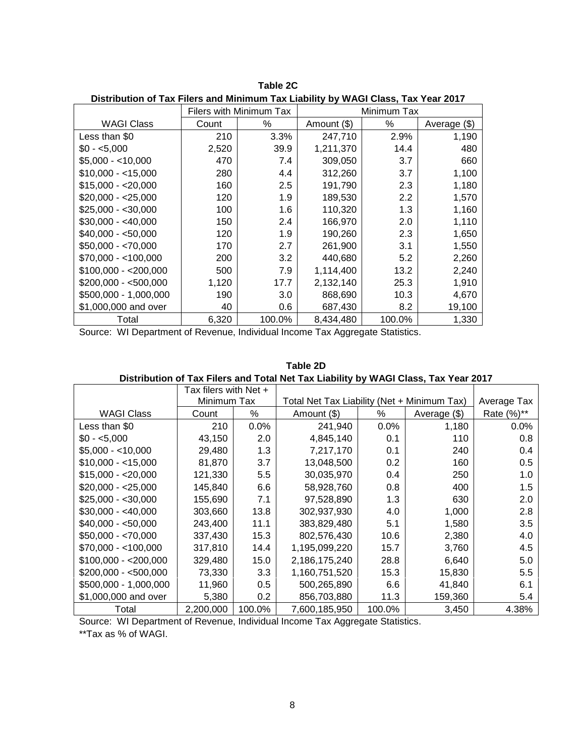|                       | Filers with Minimum Tax |                  |             | Minimum Tax      |              |
|-----------------------|-------------------------|------------------|-------------|------------------|--------------|
| WAGI Class            | Count                   | %                | Amount (\$) | %                | Average (\$) |
| Less than \$0         | 210                     | 3.3%             | 247,710     | 2.9%             | 1,190        |
| $$0 - 5.000$          | 2,520                   | 39.9             | 1,211,370   | 14.4             | 480          |
| $$5,000 - 10,000$     | 470                     | 7.4              | 309,050     | 3.7              | 660          |
| $$10,000 - < 15,000$  | 280                     | 4.4              | 312,260     | 3.7              | 1,100        |
| $$15,000 - 20,000$    | 160                     | $2.5\,$          | 191,790     | 2.3              | 1,180        |
| $$20,000 - $25,000$   | 120                     | 1.9              | 189,530     | $2.2\phantom{0}$ | 1,570        |
| $$25,000 - $30,000$   | 100                     | 1.6              | 110,320     | 1.3              | 1,160        |
| $$30,000 - $40,000$   | 150                     | 2.4              | 166,970     | 2.0              | 1,110        |
| $$40,000 - $50,000$   | 120                     | 1.9              | 190,260     | 2.3              | 1,650        |
| $$50,000 - <70,000$   | 170                     | 2.7              | 261,900     | 3.1              | 1,550        |
| $$70,000 - <100,000$  | 200                     | 3.2              | 440,680     | 5.2              | 2,260        |
| $$100,000 - $200,000$ | 500                     | 7.9              | 1,114,400   | 13.2             | 2,240        |
| $$200,000 - $500,000$ | 1,120                   | 17.7             | 2,132,140   | 25.3             | 1,910        |
| \$500,000 - 1,000,000 | 190                     | 3.0 <sub>2</sub> | 868,690     | 10.3             | 4,670        |
| \$1,000,000 and over  | 40                      | 0.6              | 687,430     | 8.2              | 19,100       |
| Total                 | 6,320                   | 100.0%           | 8,434,480   | 100.0%           | 1,330        |

**Table 2C Distribution of Tax Filers and Minimum Tax Liability by WAGI Class, Tax Year 2017**

#### **Table 2D**

**Distribution of Tax Filers and Total Net Tax Liability by WAGI Class, Tax Year 2017**

|                       | Tax filers with Net + |        |                                             |        |              |             |
|-----------------------|-----------------------|--------|---------------------------------------------|--------|--------------|-------------|
|                       | Minimum Tax           |        | Total Net Tax Liability (Net + Minimum Tax) |        |              | Average Tax |
| <b>WAGI Class</b>     | Count                 | %      | Amount (\$)                                 | %      | Average (\$) | Rate (%)**  |
| Less than \$0         | 210                   | 0.0%   | 241,940                                     | 0.0%   | 1,180        | 0.0%        |
| $$0 - 5,000$          | 43,150                | 2.0    | 4,845,140                                   | 0.1    | 110          | 0.8         |
| $$5,000 - <10,000$    | 29,480                | 1.3    | 7,217,170                                   | 0.1    | 240          | 0.4         |
| $$10,000 - < 15,000$  | 81,870                | 3.7    | 13,048,500                                  | 0.2    | 160          | 0.5         |
| $$15,000 - $20,000$   | 121,330               | 5.5    | 30,035,970                                  | 0.4    | 250          | 1.0         |
| $$20,000 - $25,000$   | 145,840               | 6.6    | 58,928,760                                  | 0.8    | 400          | 1.5         |
| $$25,000 - $30,000$   | 155,690               | 7.1    | 97,528,890                                  | 1.3    | 630          | 2.0         |
| $$30,000 - $40,000$   | 303,660               | 13.8   | 302,937,930                                 | 4.0    | 1,000        | 2.8         |
| $$40,000 - $50,000$   | 243,400               | 11.1   | 383,829,480                                 | 5.1    | 1,580        | 3.5         |
| $$50,000 - $70,000$   | 337,430               | 15.3   | 802,576,430                                 | 10.6   | 2,380        | 4.0         |
| $$70,000 - <100,000$  | 317,810               | 14.4   | 1,195,099,220                               | 15.7   | 3,760        | 4.5         |
| $$100,000 - $200,000$ | 329,480               | 15.0   | 2,186,175,240                               | 28.8   | 6,640        | 5.0         |
| $$200,000 - $500,000$ | 73,330                | 3.3    | 1,160,751,520                               | 15.3   | 15,830       | 5.5         |
| \$500,000 - 1,000,000 | 11,960                | 0.5    | 500,265,890                                 | 6.6    | 41,840       | 6.1         |
| \$1,000,000 and over  | 5,380                 | 0.2    | 856,703,880                                 | 11.3   | 159,360      | 5.4         |
| Total                 | 2,200,000             | 100.0% | 7,600,185,950                               | 100.0% | 3,450        | 4.38%       |

Source: WI Department of Revenue, Individual Income Tax Aggregate Statistics.

\*\*Tax as % of WAGI.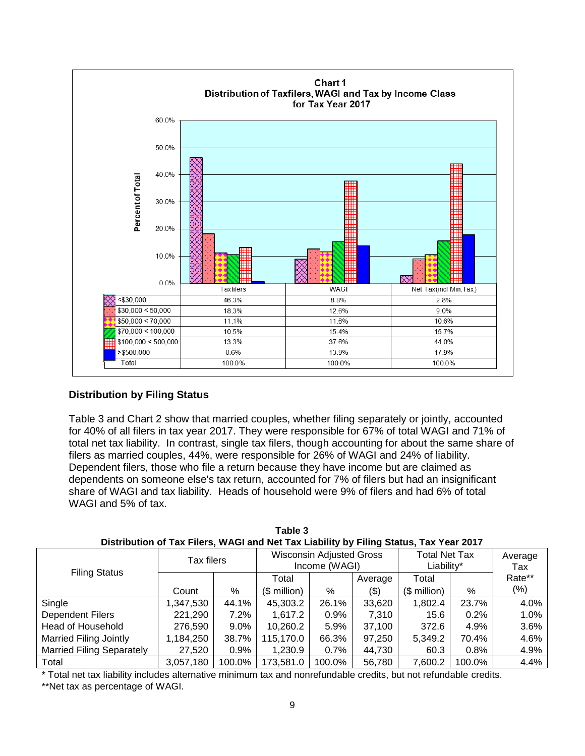

# **Distribution by Filing Status**

Table 3 and Chart 2 show that married couples, whether filing separately or jointly, accounted for 40% of all filers in tax year 2017. They were responsible for 67% of total WAGI and 71% of total net tax liability. In contrast, single tax filers, though accounting for about the same share of filers as married couples, 44%, were responsible for 26% of WAGI and 24% of liability. Dependent filers, those who file a return because they have income but are claimed as dependents on someone else's tax return, accounted for 7% of filers but had an insignificant share of WAGI and tax liability. Heads of household were 9% of filers and had 6% of total WAGI and 5% of tax.

| Distribution of Tax I light, WAOI and Ngt Tax Liability by I ling Otatus, Tax Teal Z0TT |            |         |               |                                                  |         |                                    |         |                |  |  |  |
|-----------------------------------------------------------------------------------------|------------|---------|---------------|--------------------------------------------------|---------|------------------------------------|---------|----------------|--|--|--|
| <b>Filing Status</b>                                                                    | Tax filers |         |               | <b>Wisconsin Adjusted Gross</b><br>Income (WAGI) |         | <b>Total Net Tax</b><br>Liability* |         | Average<br>Tax |  |  |  |
|                                                                                         |            |         | Total         |                                                  | Average | Total                              |         | Rate**         |  |  |  |
|                                                                                         | Count      | %       | $($$ million) | %                                                | (\$)    | $$$ million)                       | %       | (%)            |  |  |  |
| Single                                                                                  | 1,347,530  | 44.1%   | 45,303.2      | 26.1%                                            | 33,620  | 1,802.4                            | 23.7%   | 4.0%           |  |  |  |
| <b>Dependent Filers</b>                                                                 | 221,290    | 7.2%    | 1.617.2       | 0.9%                                             | 7,310   | 15.6                               | 0.2%    | 1.0%           |  |  |  |
| Head of Household                                                                       | 276,590    | 9.0%    | 10,260.2      | 5.9%                                             | 37.100  | 372.6                              | 4.9%    | 3.6%           |  |  |  |
| <b>Married Filing Jointly</b>                                                           | 1,184,250  | 38.7%   | 115,170.0     | 66.3%                                            | 97,250  | 5,349.2                            | 70.4%   | 4.6%           |  |  |  |
| <b>Married Filing Separately</b>                                                        | 27,520     | $0.9\%$ | 1,230.9       | $0.7\%$                                          | 44,730  | 60.3                               | $0.8\%$ | 4.9%           |  |  |  |
| Total                                                                                   | 3,057,180  | 100.0%  | 173,581.0     | 100.0%                                           | 56,780  | 7,600.2                            | 100.0%  | 4.4%           |  |  |  |

**Table 3 Distribution of Tax Filers, WAGI and Net Tax Liability by Filing Status, Tax Year 2017**

\* Total net tax liability includes alternative minimum tax and nonrefundable credits, but not refundable credits.

\*\*Net tax as percentage of WAGI.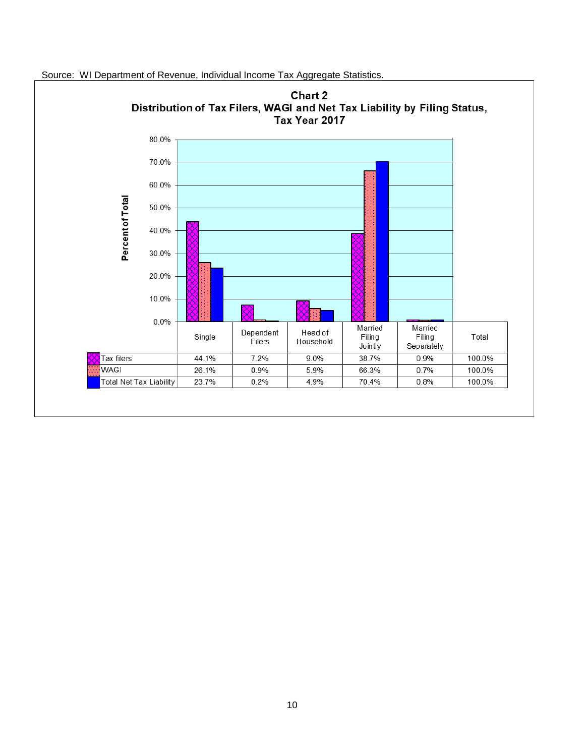

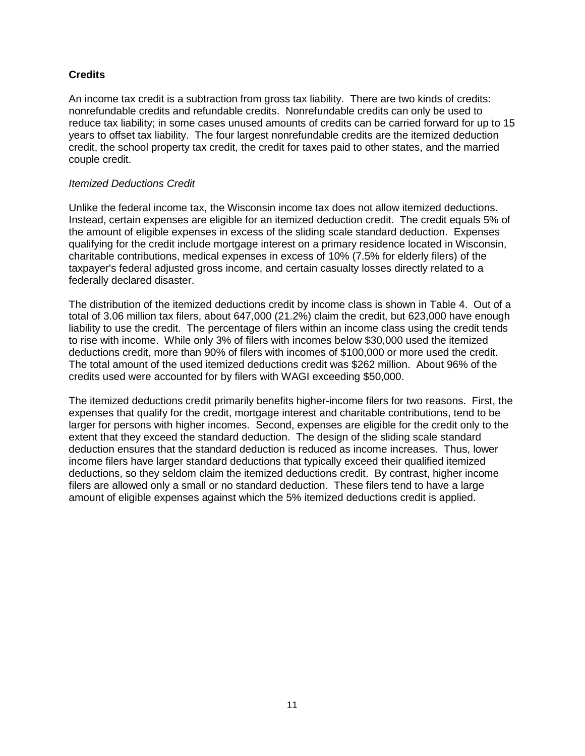# **Credits**

An income tax credit is a subtraction from gross tax liability. There are two kinds of credits: nonrefundable credits and refundable credits. Nonrefundable credits can only be used to reduce tax liability; in some cases unused amounts of credits can be carried forward for up to 15 years to offset tax liability. The four largest nonrefundable credits are the itemized deduction credit, the school property tax credit, the credit for taxes paid to other states, and the married couple credit.

# *Itemized Deductions Credit*

Unlike the federal income tax, the Wisconsin income tax does not allow itemized deductions. Instead, certain expenses are eligible for an itemized deduction credit. The credit equals 5% of the amount of eligible expenses in excess of the sliding scale standard deduction. Expenses qualifying for the credit include mortgage interest on a primary residence located in Wisconsin, charitable contributions, medical expenses in excess of 10% (7.5% for elderly filers) of the taxpayer's federal adjusted gross income, and certain casualty losses directly related to a federally declared disaster.

The distribution of the itemized deductions credit by income class is shown in Table 4. Out of a total of 3.06 million tax filers, about 647,000 (21.2%) claim the credit, but 623,000 have enough liability to use the credit. The percentage of filers within an income class using the credit tends to rise with income. While only 3% of filers with incomes below \$30,000 used the itemized deductions credit, more than 90% of filers with incomes of \$100,000 or more used the credit. The total amount of the used itemized deductions credit was \$262 million. About 96% of the credits used were accounted for by filers with WAGI exceeding \$50,000.

The itemized deductions credit primarily benefits higher-income filers for two reasons. First, the expenses that qualify for the credit, mortgage interest and charitable contributions, tend to be larger for persons with higher incomes. Second, expenses are eligible for the credit only to the extent that they exceed the standard deduction. The design of the sliding scale standard deduction ensures that the standard deduction is reduced as income increases. Thus, lower income filers have larger standard deductions that typically exceed their qualified itemized deductions, so they seldom claim the itemized deductions credit. By contrast, higher income filers are allowed only a small or no standard deduction. These filers tend to have a large amount of eligible expenses against which the 5% itemized deductions credit is applied.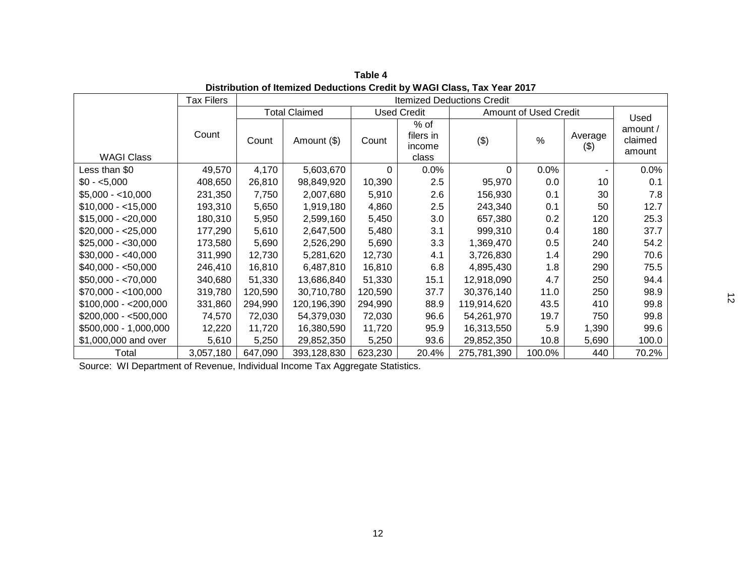|                       | <b>Tax Filers</b> |         |                      |          |                                      | <b>Itemized Deductions Credit</b> |                              |                |                               |
|-----------------------|-------------------|---------|----------------------|----------|--------------------------------------|-----------------------------------|------------------------------|----------------|-------------------------------|
|                       |                   |         | <b>Total Claimed</b> |          | <b>Used Credit</b>                   |                                   | <b>Amount of Used Credit</b> |                | Used                          |
| <b>WAGI Class</b>     | Count             | Count   | Amount (\$)          | Count    | % of<br>filers in<br>income<br>class | $(\$)$                            | $\%$                         | Average<br>(3) | amount /<br>claimed<br>amount |
| Less than \$0         | 49,570            | 4,170   | 5,603,670            | $\Omega$ | 0.0%                                 | 0                                 | 0.0%                         |                | $0.0\%$                       |
| $$0 - 5,000$          | 408,650           | 26,810  | 98,849,920           | 10,390   | 2.5                                  | 95,970                            | 0.0                          | 10             | 0.1                           |
| $$5,000 - <10,000$    | 231,350           | 7,750   | 2,007,680            | 5,910    | 2.6                                  | 156,930                           | 0.1                          | 30             | 7.8                           |
| $$10,000 - < 15,000$  | 193,310           | 5,650   | 1,919,180            | 4,860    | 2.5                                  | 243,340                           | 0.1                          | 50             | 12.7                          |
| $$15,000 - 20,000$    | 180,310           | 5,950   | 2,599,160            | 5,450    | 3.0                                  | 657,380                           | 0.2                          | 120            | 25.3                          |
| $$20,000 - $25,000$   | 177,290           | 5,610   | 2,647,500            | 5,480    | 3.1                                  | 999,310                           | 0.4                          | 180            | 37.7                          |
| $$25,000 - $30,000$   | 173,580           | 5,690   | 2,526,290            | 5,690    | 3.3                                  | 1,369,470                         | 0.5                          | 240            | 54.2                          |
| $$30,000 - $40,000$   | 311,990           | 12,730  | 5,281,620            | 12,730   | 4.1                                  | 3,726,830                         | 1.4                          | 290            | 70.6                          |
| $$40,000 - $50,000$   | 246,410           | 16,810  | 6,487,810            | 16,810   | 6.8                                  | 4,895,430                         | 1.8                          | 290            | 75.5                          |
| $$50,000 - $70,000$   | 340,680           | 51,330  | 13,686,840           | 51,330   | 15.1                                 | 12,918,090                        | 4.7                          | 250            | 94.4                          |
| $$70,000 - <100,000$  | 319,780           | 120,590 | 30,710,780           | 120,590  | 37.7                                 | 30,376,140                        | 11.0                         | 250            | 98.9                          |
| $$100,000 - $200,000$ | 331,860           | 294,990 | 120,196,390          | 294,990  | 88.9                                 | 119,914,620                       | 43.5                         | 410            | 99.8                          |
| $$200,000 - $500,000$ | 74,570            | 72,030  | 54,379,030           | 72,030   | 96.6                                 | 54,261,970                        | 19.7                         | 750            | 99.8                          |
| \$500,000 - 1,000,000 | 12,220            | 11,720  | 16,380,590           | 11,720   | 95.9                                 | 16,313,550                        | 5.9                          | 1,390          | 99.6                          |
| \$1,000,000 and over  | 5,610             | 5,250   | 29,852,350           | 5,250    | 93.6                                 | 29,852,350                        | 10.8                         | 5,690          | 100.0                         |
| Total                 | 3,057,180         | 647,090 | 393,128,830          | 623,230  | 20.4%                                | 275,781,390                       | 100.0%                       | 440            | 70.2%                         |

**Table 4 Distribution of Itemized Deductions Credit by WAGI Class, Tax Year 2017**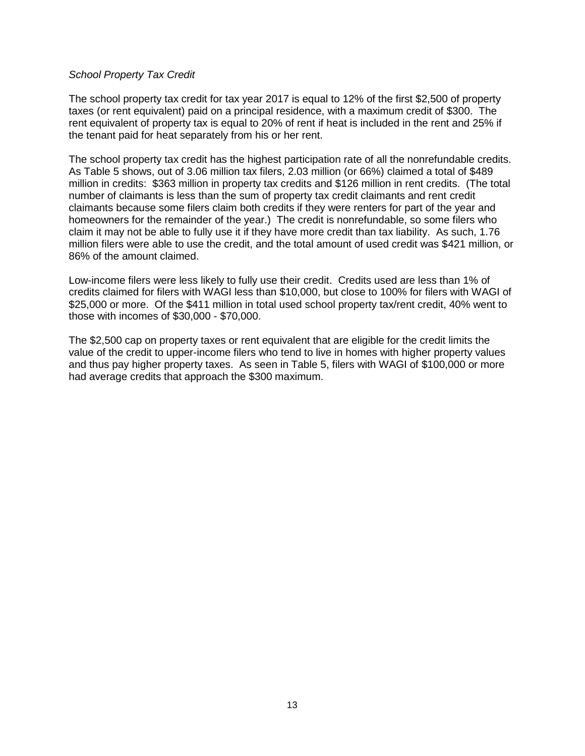#### *School Property Tax Credit*

The school property tax credit for tax year 2017 is equal to 12% of the first \$2,500 of property taxes (or rent equivalent) paid on a principal residence, with a maximum credit of \$300. The rent equivalent of property tax is equal to 20% of rent if heat is included in the rent and 25% if the tenant paid for heat separately from his or her rent.

The school property tax credit has the highest participation rate of all the nonrefundable credits. As Table 5 shows, out of 3.06 million tax filers, 2.03 million (or 66%) claimed a total of \$489 million in credits: \$363 million in property tax credits and \$126 million in rent credits. (The total number of claimants is less than the sum of property tax credit claimants and rent credit claimants because some filers claim both credits if they were renters for part of the year and homeowners for the remainder of the year.) The credit is nonrefundable, so some filers who claim it may not be able to fully use it if they have more credit than tax liability. As such, 1.76 million filers were able to use the credit, and the total amount of used credit was \$421 million, or 86% of the amount claimed.

Low-income filers were less likely to fully use their credit. Credits used are less than 1% of credits claimed for filers with WAGI less than \$10,000, but close to 100% for filers with WAGI of \$25,000 or more. Of the \$411 million in total used school property tax/rent credit, 40% went to those with incomes of \$30,000 - \$70,000.

The \$2,500 cap on property taxes or rent equivalent that are eligible for the credit limits the value of the credit to upper-income filers who tend to live in homes with higher property values and thus pay higher property taxes. As seen in Table 5, filers with WAGI of \$100,000 or more had average credits that approach the \$300 maximum.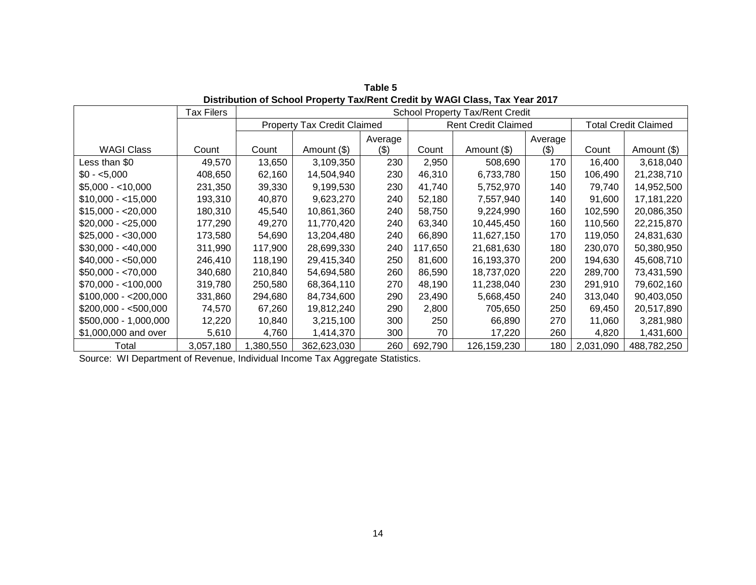|                       | Tax Filers |          |                                    |         |         | <b>School Property Tax/Rent Credit</b> |         |           |                             |  |
|-----------------------|------------|----------|------------------------------------|---------|---------|----------------------------------------|---------|-----------|-----------------------------|--|
|                       |            |          | <b>Property Tax Credit Claimed</b> |         |         | <b>Rent Credit Claimed</b>             |         |           | <b>Total Credit Claimed</b> |  |
|                       |            |          |                                    | Average |         |                                        | Average |           |                             |  |
| <b>WAGI Class</b>     | Count      | Count    | Amount (\$)                        | (3)     | Count   | Amount (\$)                            | (3)     | Count     | Amount (\$)                 |  |
| Less than \$0         | 49,570     | 13,650   | 3,109,350                          | 230     | 2,950   | 508,690                                | 170     | 16,400    | 3,618,040                   |  |
| $$0 - 5,000$          | 408,650    | 62,160   | 14,504,940                         | 230     | 46,310  | 6,733,780                              | 150     | 106,490   | 21,238,710                  |  |
| $$5,000 - <10,000$    | 231,350    | 39,330   | 9,199,530                          | 230     | 41,740  | 5,752,970                              | 140     | 79,740    | 14,952,500                  |  |
| $$10,000 - < 15,000$  | 193,310    | 40,870   | 9,623,270                          | 240     | 52,180  | 7,557,940                              | 140     | 91,600    | 17,181,220                  |  |
| $$15,000 - $20,000$   | 180,310    | 45,540   | 10,861,360                         | 240     | 58,750  | 9,224,990                              | 160     | 102,590   | 20,086,350                  |  |
| $$20,000 - $25,000$   | 177,290    | 49,270   | 11,770,420                         | 240     | 63,340  | 10,445,450                             | 160     | 110,560   | 22,215,870                  |  |
| $$25,000 - $30,000$   | 173,580    | 54,690   | 13,204,480                         | 240     | 66,890  | 11,627,150                             | 170     | 119,050   | 24,831,630                  |  |
| $$30,000 - $40,000$   | 311,990    | 117,900  | 28,699,330                         | 240     | 117,650 | 21,681,630                             | 180     | 230,070   | 50,380,950                  |  |
| $$40,000 - $50,000$   | 246,410    | 118,190  | 29,415,340                         | 250     | 81,600  | 16,193,370                             | 200     | 194,630   | 45,608,710                  |  |
| $$50,000 - $70,000$   | 340,680    | 210,840  | 54,694,580                         | 260     | 86,590  | 18,737,020                             | 220     | 289,700   | 73,431,590                  |  |
| $$70,000 - <100,000$  | 319,780    | 250,580  | 68,364,110                         | 270     | 48,190  | 11,238,040                             | 230     | 291,910   | 79,602,160                  |  |
| $$100,000 - $200,000$ | 331,860    | 294,680  | 84,734,600                         | 290     | 23,490  | 5,668,450                              | 240     | 313,040   | 90,403,050                  |  |
| $$200,000 - $500,000$ | 74,570     | 67,260   | 19,812,240                         | 290     | 2,800   | 705,650                                | 250     | 69,450    | 20,517,890                  |  |
| \$500,000 - 1,000,000 | 12,220     | 10,840   | 3,215,100                          | 300     | 250     | 66,890                                 | 270     | 11,060    | 3,281,980                   |  |
| \$1,000,000 and over  | 5,610      | 4,760    | 1,414,370                          | 300     | 70      | 17,220                                 | 260     | 4,820     | 1,431,600                   |  |
| Total                 | 3,057,180  | ,380,550 | 362,623,030                        | 260     | 692,790 | 126,159,230                            | 180     | 2,031,090 | 488,782,250                 |  |

**Table 5 Distribution of School Property Tax/Rent Credit by WAGI Class, Tax Year 2017**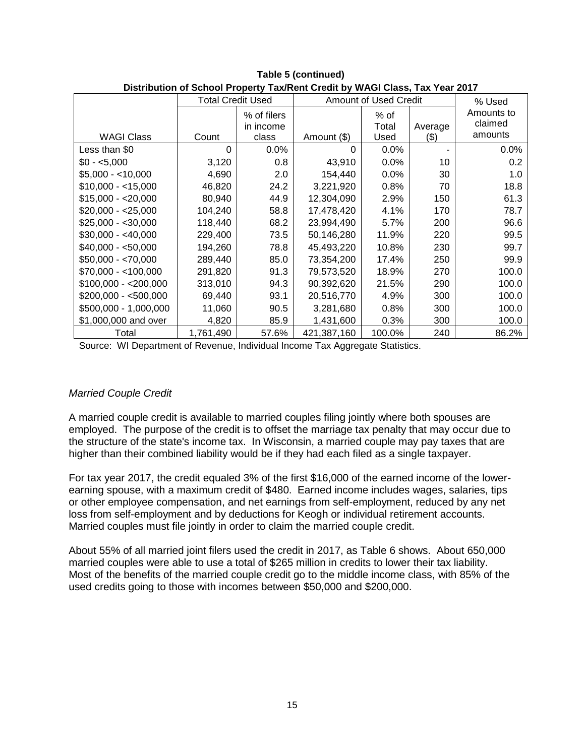| Distribution of School Property Taxment Credit by WAGI Class, Tax Teal Z0T7 |                          |             |             |                       |         |            |  |  |  |  |
|-----------------------------------------------------------------------------|--------------------------|-------------|-------------|-----------------------|---------|------------|--|--|--|--|
|                                                                             | <b>Total Credit Used</b> |             |             | Amount of Used Credit |         | % Used     |  |  |  |  |
|                                                                             |                          | % of filers |             | $%$ of                |         | Amounts to |  |  |  |  |
|                                                                             |                          | in income   |             | Total                 | Average | claimed    |  |  |  |  |
| <b>WAGI Class</b>                                                           | Count                    | class       | Amount (\$) | Used                  | (3)     | amounts    |  |  |  |  |
| Less than \$0                                                               | $\Omega$                 | 0.0%        | 0           | $0.0\%$               |         | $0.0\%$    |  |  |  |  |
| $$0 - 5,000$                                                                | 3,120                    | 0.8         | 43,910      | 0.0%                  | 10      | 0.2        |  |  |  |  |
| $$5,000 - <10,000$                                                          | 4,690                    | 2.0         | 154,440     | 0.0%                  | 30      | 1.0        |  |  |  |  |
| $$10,000 - 15,000$                                                          | 46,820                   | 24.2        | 3,221,920   | 0.8%                  | 70      | 18.8       |  |  |  |  |
| $$15,000 - 20,000$                                                          | 80,940                   | 44.9        | 12,304,090  | 2.9%                  | 150     | 61.3       |  |  |  |  |
| $$20,000 - $25,000$                                                         | 104,240                  | 58.8        | 17,478,420  | 4.1%                  | 170     | 78.7       |  |  |  |  |
| $$25,000 - $30,000$                                                         | 118,440                  | 68.2        | 23,994,490  | 5.7%                  | 200     | 96.6       |  |  |  |  |
| $$30,000 - $40,000$                                                         | 229,400                  | 73.5        | 50,146,280  | 11.9%                 | 220     | 99.5       |  |  |  |  |
| $$40,000 - $50,000$                                                         | 194,260                  | 78.8        | 45,493,220  | 10.8%                 | 230     | 99.7       |  |  |  |  |
| $$50,000 - $70,000$                                                         | 289,440                  | 85.0        | 73,354,200  | 17.4%                 | 250     | 99.9       |  |  |  |  |
| $$70,000 - <100,000$                                                        | 291,820                  | 91.3        | 79,573,520  | 18.9%                 | 270     | 100.0      |  |  |  |  |
| $$100,000 - $200,000$                                                       | 313,010                  | 94.3        | 90,392,620  | 21.5%                 | 290     | 100.0      |  |  |  |  |
| $$200,000 - $500,000$                                                       | 69,440                   | 93.1        | 20,516,770  | 4.9%                  | 300     | 100.0      |  |  |  |  |
| \$500,000 - 1,000,000                                                       | 11,060                   | 90.5        | 3,281,680   | 0.8%                  | 300     | 100.0      |  |  |  |  |
| \$1,000,000 and over                                                        | 4,820                    | 85.9        | 1,431,600   | 0.3%                  | 300     | 100.0      |  |  |  |  |
| Total                                                                       | 1,761,490                | 57.6%       | 421,387,160 | 100.0%                | 240     | 86.2%      |  |  |  |  |

**Table 5 (continued) Distribution of School Property Tax/Rent Credit by WAGI Class, Tax Year 2017**

# *Married Couple Credit*

A married couple credit is available to married couples filing jointly where both spouses are employed. The purpose of the credit is to offset the marriage tax penalty that may occur due to the structure of the state's income tax. In Wisconsin, a married couple may pay taxes that are higher than their combined liability would be if they had each filed as a single taxpayer.

For tax year 2017, the credit equaled 3% of the first \$16,000 of the earned income of the lowerearning spouse, with a maximum credit of \$480. Earned income includes wages, salaries, tips or other employee compensation, and net earnings from self-employment, reduced by any net loss from self-employment and by deductions for Keogh or individual retirement accounts. Married couples must file jointly in order to claim the married couple credit.

About 55% of all married joint filers used the credit in 2017, as Table 6 shows. About 650,000 married couples were able to use a total of \$265 million in credits to lower their tax liability. Most of the benefits of the married couple credit go to the middle income class, with 85% of the used credits going to those with incomes between \$50,000 and \$200,000.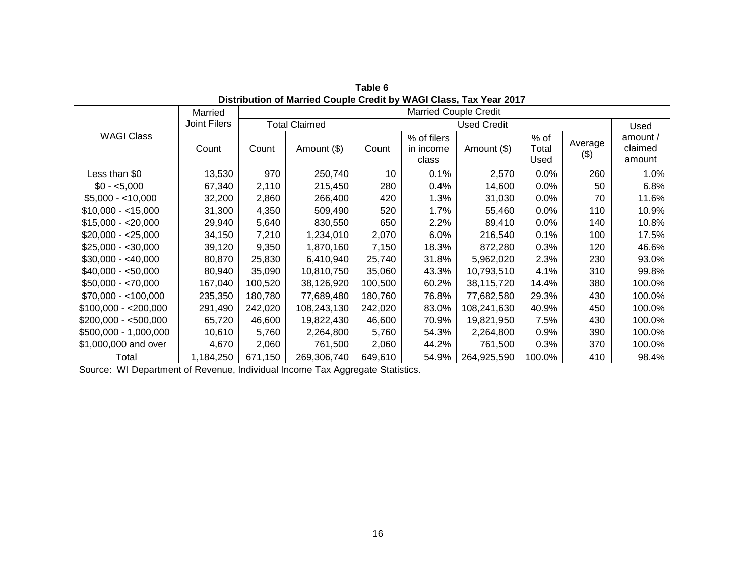|                       | Married      |         | <b>Married Couple Credit</b> |                 |                                   |                    |                       |                    |                               |
|-----------------------|--------------|---------|------------------------------|-----------------|-----------------------------------|--------------------|-----------------------|--------------------|-------------------------------|
|                       | Joint Filers |         | <b>Total Claimed</b>         |                 |                                   | <b>Used Credit</b> |                       |                    | Used                          |
| <b>WAGI Class</b>     | Count        | Count   | Amount (\$)                  | Count           | % of filers<br>in income<br>class | Amount (\$)        | % of<br>Total<br>Used | Average<br>$($ \$) | amount /<br>claimed<br>amount |
| Less than \$0         | 13,530       | 970     | 250,740                      | 10 <sup>1</sup> | 0.1%                              | 2,570              | 0.0%                  | 260                | 1.0%                          |
| $$0 - 5,000$          | 67,340       | 2,110   | 215,450                      | 280             | 0.4%                              | 14,600             | 0.0%                  | 50                 | 6.8%                          |
| $$5,000 - 10,000$     | 32,200       | 2,860   | 266,400                      | 420             | 1.3%                              | 31,030             | 0.0%                  | 70                 | 11.6%                         |
| $$10,000 - < 15,000$  | 31,300       | 4,350   | 509,490                      | 520             | 1.7%                              | 55,460             | 0.0%                  | 110                | 10.9%                         |
| $$15,000 - $20,000$   | 29,940       | 5,640   | 830,550                      | 650             | 2.2%                              | 89,410             | 0.0%                  | 140                | 10.8%                         |
| $$20,000 - $25,000$   | 34,150       | 7,210   | 1,234,010                    | 2,070           | 6.0%                              | 216,540            | 0.1%                  | 100                | 17.5%                         |
| $$25,000 - $30,000$   | 39,120       | 9,350   | 1,870,160                    | 7,150           | 18.3%                             | 872,280            | 0.3%                  | 120                | 46.6%                         |
| $$30,000 - $40,000$   | 80,870       | 25,830  | 6,410,940                    | 25,740          | 31.8%                             | 5,962,020          | 2.3%                  | 230                | 93.0%                         |
| $$40,000 - $50,000$   | 80,940       | 35,090  | 10,810,750                   | 35,060          | 43.3%                             | 10,793,510         | 4.1%                  | 310                | 99.8%                         |
| $$50,000 - $70,000$   | 167,040      | 100,520 | 38,126,920                   | 100,500         | 60.2%                             | 38,115,720         | 14.4%                 | 380                | 100.0%                        |
| $$70,000 - <100,000$  | 235,350      | 180,780 | 77,689,480                   | 180,760         | 76.8%                             | 77,682,580         | 29.3%                 | 430                | 100.0%                        |
| $$100,000 - $200,000$ | 291,490      | 242,020 | 108,243,130                  | 242,020         | 83.0%                             | 108,241,630        | 40.9%                 | 450                | 100.0%                        |
| $$200,000 - $500,000$ | 65,720       | 46,600  | 19,822,430                   | 46,600          | 70.9%                             | 19,821,950         | 7.5%                  | 430                | 100.0%                        |
| \$500,000 - 1,000,000 | 10,610       | 5,760   | 2,264,800                    | 5,760           | 54.3%                             | 2,264,800          | 0.9%                  | 390                | 100.0%                        |
| \$1,000,000 and over  | 4,670        | 2,060   | 761,500                      | 2,060           | 44.2%                             | 761,500            | 0.3%                  | 370                | 100.0%                        |
| Total                 | 1,184,250    | 671,150 | 269,306,740                  | 649,610         | 54.9%                             | 264,925,590        | 100.0%                | 410                | 98.4%                         |

**Table 6 Distribution of Married Couple Credit by WAGI Class, Tax Year 2017**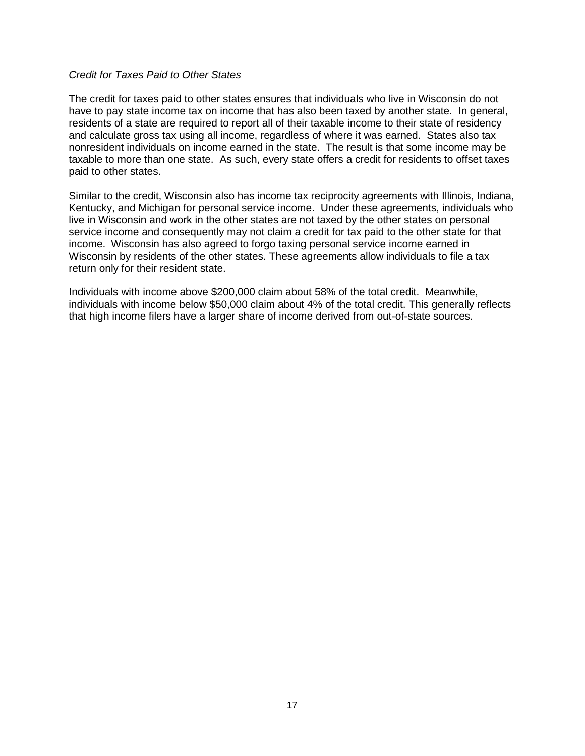#### *Credit for Taxes Paid to Other States*

The credit for taxes paid to other states ensures that individuals who live in Wisconsin do not have to pay state income tax on income that has also been taxed by another state. In general, residents of a state are required to report all of their taxable income to their state of residency and calculate gross tax using all income, regardless of where it was earned. States also tax nonresident individuals on income earned in the state. The result is that some income may be taxable to more than one state. As such, every state offers a credit for residents to offset taxes paid to other states.

Similar to the credit, Wisconsin also has income tax reciprocity agreements with Illinois, Indiana, Kentucky, and Michigan for personal service income. Under these agreements, individuals who live in Wisconsin and work in the other states are not taxed by the other states on personal service income and consequently may not claim a credit for tax paid to the other state for that income. Wisconsin has also agreed to forgo taxing personal service income earned in Wisconsin by residents of the other states. These agreements allow individuals to file a tax return only for their resident state.

Individuals with income above \$200,000 claim about 58% of the total credit. Meanwhile, individuals with income below \$50,000 claim about 4% of the total credit. This generally reflects that high income filers have a larger share of income derived from out-of-state sources.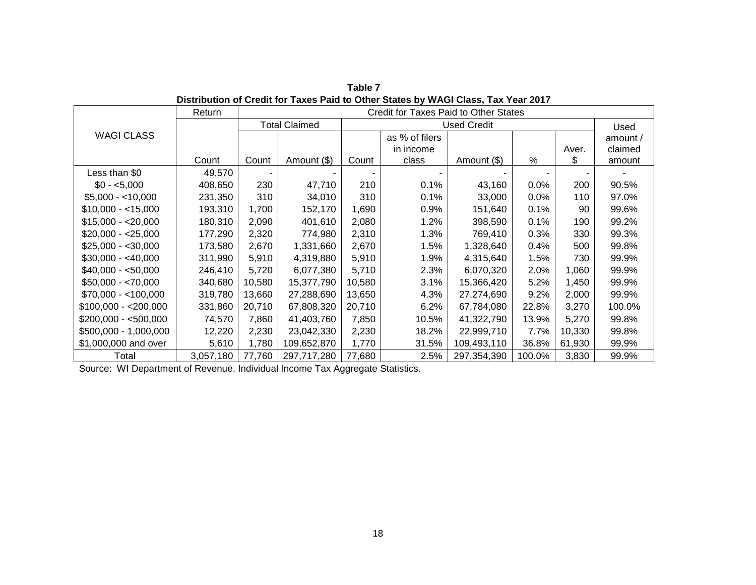|                       | Return    |        |                      |        | Credit for Taxes Paid to Other States |                    |        |        |          |
|-----------------------|-----------|--------|----------------------|--------|---------------------------------------|--------------------|--------|--------|----------|
|                       |           |        | <b>Total Claimed</b> |        |                                       | <b>Used Credit</b> |        |        | Used     |
| <b>WAGI CLASS</b>     |           |        |                      |        | as % of filers                        |                    |        |        | amount / |
|                       |           |        |                      |        | in income                             |                    |        | Aver.  | claimed  |
|                       | Count     | Count  | Amount (\$)          | Count  | class                                 | Amount (\$)        | ℅      | \$     | amount   |
| Less than \$0         | 49,570    |        |                      |        |                                       |                    |        |        |          |
| $$0 - 5,000$          | 408,650   | 230    | 47,710               | 210    | 0.1%                                  | 43,160             | 0.0%   | 200    | 90.5%    |
| $$5,000 - < 10,000$   | 231,350   | 310    | 34,010               | 310    | 0.1%                                  | 33,000             | 0.0%   | 110    | 97.0%    |
| $$10,000 - < 15,000$  | 193,310   | 1,700  | 152,170              | 1,690  | 0.9%                                  | 151,640            | 0.1%   | 90     | 99.6%    |
| $$15,000 - $20,000$   | 180,310   | 2,090  | 401,610              | 2,080  | 1.2%                                  | 398,590            | 0.1%   | 190    | 99.2%    |
| $$20,000 - $25,000$   | 177,290   | 2,320  | 774,980              | 2,310  | 1.3%                                  | 769,410            | 0.3%   | 330    | 99.3%    |
| $$25,000 - $30,000$   | 173,580   | 2,670  | 1,331,660            | 2,670  | 1.5%                                  | 1,328,640          | 0.4%   | 500    | 99.8%    |
| $$30,000 - $40,000$   | 311,990   | 5,910  | 4,319,880            | 5,910  | 1.9%                                  | 4,315,640          | 1.5%   | 730    | 99.9%    |
| $$40,000 - $50,000$   | 246,410   | 5,720  | 6,077,380            | 5,710  | 2.3%                                  | 6,070,320          | 2.0%   | 1,060  | 99.9%    |
| $$50,000 - $70,000$   | 340,680   | 10,580 | 15,377,790           | 10,580 | 3.1%                                  | 15,366,420         | 5.2%   | 1,450  | 99.9%    |
| $$70,000 - <100,000$  | 319,780   | 13,660 | 27,288,690           | 13,650 | 4.3%                                  | 27,274,690         | 9.2%   | 2,000  | 99.9%    |
| $$100,000 - $200,000$ | 331,860   | 20,710 | 67,808,320           | 20,710 | 6.2%                                  | 67,784,080         | 22.8%  | 3,270  | 100.0%   |
| $$200,000 - $500,000$ | 74,570    | 7,860  | 41,403,760           | 7,850  | 10.5%                                 | 41,322,790         | 13.9%  | 5,270  | 99.8%    |
| \$500,000 - 1,000,000 | 12,220    | 2,230  | 23,042,330           | 2,230  | 18.2%                                 | 22,999,710         | 7.7%   | 10,330 | 99.8%    |
| \$1,000,000 and over  | 5,610     | 1,780  | 109,652,870          | 1,770  | 31.5%                                 | 109,493,110        | 36.8%  | 61,930 | 99.9%    |
| Total                 | 3,057,180 | 77,760 | 297,717,280          | 77,680 | 2.5%                                  | 297,354,390        | 100.0% | 3,830  | 99.9%    |

**Table 7 Distribution of Credit for Taxes Paid to Other States by WAGI Class, Tax Year 2017**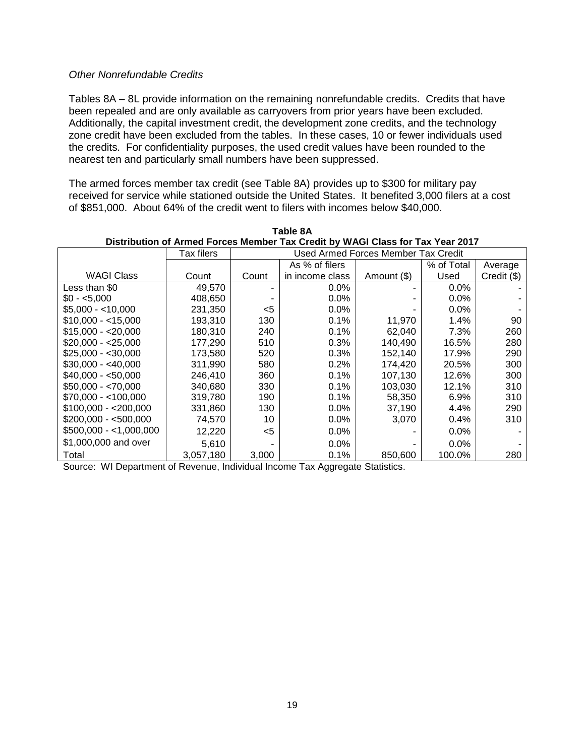#### *Other Nonrefundable Credits*

Tables 8A – 8L provide information on the remaining nonrefundable credits. Credits that have been repealed and are only available as carryovers from prior years have been excluded. Additionally, the capital investment credit, the development zone credits, and the technology zone credit have been excluded from the tables. In these cases, 10 or fewer individuals used the credits. For confidentiality purposes, the used credit values have been rounded to the nearest ten and particularly small numbers have been suppressed.

The armed forces member tax credit (see Table 8A) provides up to \$300 for military pay received for service while stationed outside the United States. It benefited 3,000 filers at a cost of \$851,000. About 64% of the credit went to filers with incomes below \$40,000.

|                        | Tax filers | <b>Used Armed Forces Member Tax Credit</b> |                 |             |            |               |  |  |  |
|------------------------|------------|--------------------------------------------|-----------------|-------------|------------|---------------|--|--|--|
|                        |            |                                            | As % of filers  |             | % of Total | Average       |  |  |  |
| <b>WAGI Class</b>      | Count      | Count                                      | in income class | Amount (\$) | Used       | $Credit$ (\$) |  |  |  |
| Less than \$0          | 49,570     |                                            | $0.0\%$         |             | $0.0\%$    |               |  |  |  |
| $$0 - 5.000$           | 408,650    |                                            | $0.0\%$         |             | $0.0\%$    |               |  |  |  |
| $$5.000 - $10.000$     | 231.350    | <5                                         | $0.0\%$         |             | $0.0\%$    |               |  |  |  |
| $$10.000 - 15.000$     | 193,310    | 130                                        | 0.1%            | 11.970      | 1.4%       | 90            |  |  |  |
| $$15.000 - $20.000$    | 180,310    | 240                                        | 0.1%            | 62,040      | 7.3%       | 260           |  |  |  |
| $$20.000 - $25.000$    | 177.290    | 510                                        | 0.3%            | 140.490     | 16.5%      | 280           |  |  |  |
| $$25,000 - $30,000$    | 173,580    | 520                                        | 0.3%            | 152,140     | 17.9%      | 290           |  |  |  |
| $$30,000 - $40,000$    | 311,990    | 580                                        | 0.2%            | 174,420     | 20.5%      | 300           |  |  |  |
| $$40,000 - $50,000$    | 246.410    | 360                                        | 0.1%            | 107.130     | 12.6%      | 300           |  |  |  |
| $$50,000 - $70,000$    | 340,680    | 330                                        | 0.1%            | 103,030     | 12.1%      | 310           |  |  |  |
| $$70,000 - < 100,000$  | 319,780    | 190                                        | 0.1%            | 58.350      | $6.9\%$    | 310           |  |  |  |
| $$100,000 - $200,000$  | 331,860    | 130                                        | $0.0\%$         | 37,190      | 4.4%       | 290           |  |  |  |
| $$200.000 - $500.000$  | 74,570     | 10                                         | $0.0\%$         | 3,070       | 0.4%       | 310           |  |  |  |
| $$500,000 - 1,000,000$ | 12,220     | <5                                         | $0.0\%$         |             | $0.0\%$    |               |  |  |  |
| \$1,000,000 and over   | 5,610      |                                            | $0.0\%$         |             | $0.0\%$    |               |  |  |  |
| Total                  | 3,057,180  | 3,000                                      | 0.1%            | 850,600     | 100.0%     | 280           |  |  |  |

**Table 8A Distribution of Armed Forces Member Tax Credit by WAGI Class for Tax Year 2017**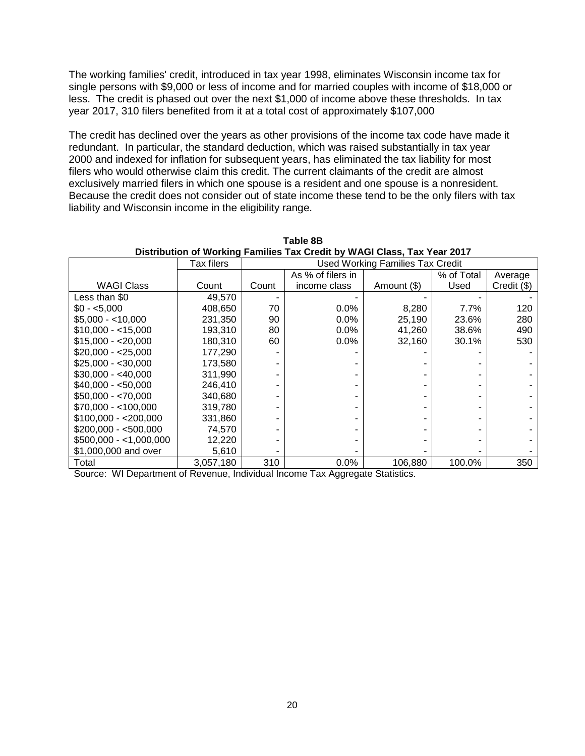The working families' credit, introduced in tax year 1998, eliminates Wisconsin income tax for single persons with \$9,000 or less of income and for married couples with income of \$18,000 or less. The credit is phased out over the next \$1,000 of income above these thresholds. In tax year 2017, 310 filers benefited from it at a total cost of approximately \$107,000

The credit has declined over the years as other provisions of the income tax code have made it redundant. In particular, the standard deduction, which was raised substantially in tax year 2000 and indexed for inflation for subsequent years, has eliminated the tax liability for most filers who would otherwise claim this credit. The current claimants of the credit are almost exclusively married filers in which one spouse is a resident and one spouse is a nonresident. Because the credit does not consider out of state income these tend to be the only filers with tax liability and Wisconsin income in the eligibility range.

|                         | Tax filers | <b>Used Working Families Tax Credit</b> |                   |             |            |             |  |  |  |
|-------------------------|------------|-----------------------------------------|-------------------|-------------|------------|-------------|--|--|--|
|                         |            |                                         | As % of filers in |             | % of Total | Average     |  |  |  |
| <b>WAGI Class</b>       | Count      | Count                                   | income class      | Amount (\$) | Used       | Credit (\$) |  |  |  |
| Less than \$0           | 49,570     |                                         |                   |             |            |             |  |  |  |
| $$0 - 5.000$            | 408,650    | 70                                      | 0.0%              | 8,280       | 7.7%       | 120         |  |  |  |
| $$5,000 - < 10,000$     | 231,350    | 90                                      | 0.0%              | 25,190      | 23.6%      | 280         |  |  |  |
| $$10,000 - < 15,000$    | 193,310    | 80                                      | 0.0%              | 41,260      | 38.6%      | 490         |  |  |  |
| $$15,000 - $20,000$     | 180,310    | 60                                      | 0.0%              | 32,160      | 30.1%      | 530         |  |  |  |
| $$20,000 - $25,000$     | 177,290    |                                         |                   |             |            |             |  |  |  |
| $$25,000 - $30,000$     | 173,580    |                                         |                   |             |            |             |  |  |  |
| $$30,000 - $40,000$     | 311,990    |                                         |                   |             |            |             |  |  |  |
| $$40,000 - $50,000$     | 246,410    |                                         |                   |             |            |             |  |  |  |
| $$50,000 - $70,000$     | 340,680    |                                         |                   |             |            |             |  |  |  |
| $$70,000 - <100,000$    | 319,780    |                                         |                   |             |            |             |  |  |  |
| $$100,000 - $200,000$   | 331,860    |                                         |                   |             |            |             |  |  |  |
| $$200,000 - $500,000$   | 74,570     |                                         |                   |             |            |             |  |  |  |
| $$500,000 - <1,000,000$ | 12,220     |                                         |                   |             |            |             |  |  |  |
| \$1,000,000 and over    | 5,610      |                                         |                   |             |            |             |  |  |  |
| Total                   | 3,057,180  | 310                                     | 0.0%              | 106,880     | 100.0%     | 350         |  |  |  |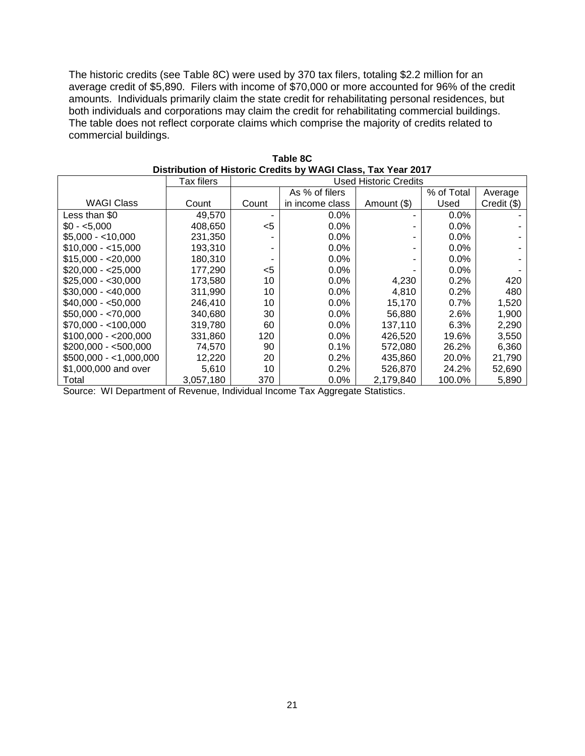The historic credits (see Table 8C) were used by 370 tax filers, totaling \$2.2 million for an average credit of \$5,890. Filers with income of \$70,000 or more accounted for 96% of the credit amounts. Individuals primarily claim the state credit for rehabilitating personal residences, but both individuals and corporations may claim the credit for rehabilitating commercial buildings. The table does not reflect corporate claims which comprise the majority of credits related to commercial buildings.

|                        | Tax filers | <b>Used Historic Credits</b> |                 |             |            |             |  |  |  |
|------------------------|------------|------------------------------|-----------------|-------------|------------|-------------|--|--|--|
|                        |            |                              | As % of filers  |             | % of Total | Average     |  |  |  |
| WAGI Class             | Count      | Count                        | in income class | Amount (\$) | Used       | Credit (\$) |  |  |  |
| Less than \$0          | 49,570     |                              | $0.0\%$         |             | $0.0\%$    |             |  |  |  |
| $$0 - 5.000$           | 408,650    | $<$ 5                        | $0.0\%$         |             | $0.0\%$    |             |  |  |  |
| $$5.000 - 10.000$      | 231,350    |                              | $0.0\%$         |             | $0.0\%$    |             |  |  |  |
| $$10,000 - 15,000$     | 193.310    | ۰                            | $0.0\%$         |             | $0.0\%$    |             |  |  |  |
| $$15,000 - $20,000$    | 180,310    |                              | $0.0\%$         |             | $0.0\%$    |             |  |  |  |
| $$20,000 - $25,000$    | 177,290    | $<$ 5                        | $0.0\%$         |             | $0.0\%$    |             |  |  |  |
| $$25,000 - $30,000$    | 173,580    | 10                           | $0.0\%$         | 4,230       | 0.2%       | 420         |  |  |  |
| $$30,000 - $40,000$    | 311.990    | 10                           | $0.0\%$         | 4,810       | 0.2%       | 480         |  |  |  |
| $$40,000 - $50,000$    | 246,410    | 10                           | $0.0\%$         | 15,170      | $0.7\%$    | 1,520       |  |  |  |
| $$50,000 - $70,000$    | 340,680    | 30                           | $0.0\%$         | 56,880      | 2.6%       | 1,900       |  |  |  |
| $$70,000 - < 100,000$  | 319,780    | 60                           | $0.0\%$         | 137,110     | 6.3%       | 2,290       |  |  |  |
| $$100,000 - $200,000$  | 331,860    | 120                          | $0.0\%$         | 426.520     | 19.6%      | 3,550       |  |  |  |
| $$200,000 - $500,000$  | 74,570     | 90                           | 0.1%            | 572,080     | 26.2%      | 6,360       |  |  |  |
| $$500,000 - 1,000,000$ | 12,220     | 20                           | 0.2%            | 435,860     | 20.0%      | 21,790      |  |  |  |
| \$1,000,000 and over   | 5,610      | 10                           | 0.2%            | 526,870     | 24.2%      | 52,690      |  |  |  |
| Total                  | 3,057,180  | 370                          | $0.0\%$         | 2,179,840   | 100.0%     | 5,890       |  |  |  |

| <b>Table 8C</b>                                               |  |  |  |  |  |  |  |
|---------------------------------------------------------------|--|--|--|--|--|--|--|
| Distribution of Historic Credits by WAGI Class, Tax Year 2017 |  |  |  |  |  |  |  |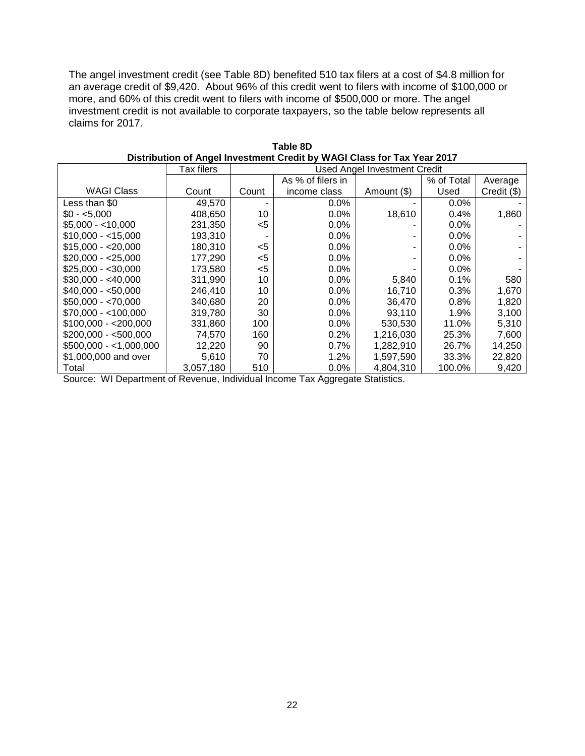The angel investment credit (see Table 8D) benefited 510 tax filers at a cost of \$4.8 million for an average credit of \$9,420. About 96% of this credit went to filers with income of \$100,000 or more, and 60% of this credit went to filers with income of \$500,000 or more. The angel investment credit is not available to corporate taxpayers, so the table below represents all claims for 2017.

|                         | Tax filers |       |                   | <b>Used Angel Investment Credit</b> |            |             |
|-------------------------|------------|-------|-------------------|-------------------------------------|------------|-------------|
|                         |            |       | As % of filers in |                                     | % of Total | Average     |
| <b>WAGI Class</b>       | Count      | Count | income class      | Amount (\$)                         | Used       | Credit (\$) |
| Less than \$0           | 49,570     |       | $0.0\%$           |                                     | 0.0%       |             |
| $$0 - 5.000$            | 408,650    | 10    | $0.0\%$           | 18,610                              | 0.4%       | 1,860       |
| $$5,000 - < 10,000$     | 231,350    | $<$ 5 | $0.0\%$           |                                     | 0.0%       |             |
| $$10,000 - 15,000$      | 193,310    |       | $0.0\%$           |                                     | 0.0%       |             |
| $$15,000 - $20,000$     | 180,310    | $<$ 5 | 0.0%              |                                     | 0.0%       |             |
| $$20,000 - $25,000$     | 177,290    | $<$ 5 | $0.0\%$           |                                     | 0.0%       |             |
| $$25,000 - $30,000$     | 173,580    | $<$ 5 | $0.0\%$           |                                     | $0.0\%$    |             |
| $$30,000 - $40,000$     | 311,990    | 10    | 0.0%              | 5,840                               | 0.1%       | 580         |
| $$40,000 - $50,000$     | 246,410    | 10    | 0.0%              | 16.710                              | 0.3%       | 1,670       |
| $$50,000 - $70,000$     | 340,680    | 20    | 0.0%              | 36,470                              | 0.8%       | 1,820       |
| $$70,000 - <100,000$    | 319,780    | 30    | 0.0%              | 93,110                              | 1.9%       | 3,100       |
| $$100,000 - $200,000$   | 331,860    | 100   | $0.0\%$           | 530,530                             | 11.0%      | 5,310       |
| $$200,000 - $500,000$   | 74,570     | 160   | 0.2%              | 1,216,030                           | 25.3%      | 7,600       |
| $$500,000 - <1,000,000$ | 12,220     | 90    | 0.7%              | 1,282,910                           | 26.7%      | 14,250      |
| \$1,000,000 and over    | 5,610      | 70    | 1.2%              | 1,597,590                           | 33.3%      | 22,820      |
| Total                   | 3,057,180  | 510   | 0.0%              | 4.804.310                           | 100.0%     | 9,420       |

| Table 8D                                                                |
|-------------------------------------------------------------------------|
| Distribution of Angel Investment Credit by WAGI Class for Tax Year 2017 |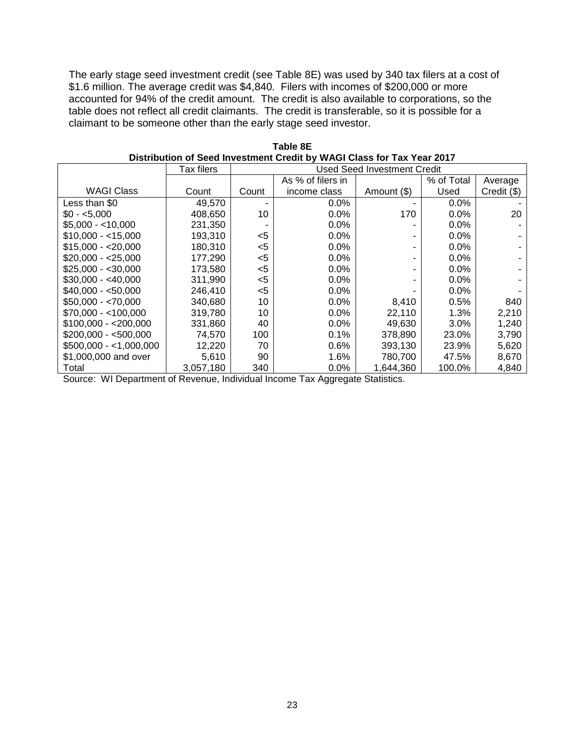The early stage seed investment credit (see Table 8E) was used by 340 tax filers at a cost of \$1.6 million. The average credit was \$4,840. Filers with incomes of \$200,000 or more accounted for 94% of the credit amount. The credit is also available to corporations, so the table does not reflect all credit claimants. The credit is transferable, so it is possible for a claimant to be someone other than the early stage seed investor.

|                         | Tax filers | <b>Used Seed Investment Credit</b> |                   |             |            |             |
|-------------------------|------------|------------------------------------|-------------------|-------------|------------|-------------|
|                         |            |                                    | As % of filers in |             | % of Total | Average     |
| <b>WAGI Class</b>       | Count      | Count                              | income class      | Amount (\$) | Used       | Credit (\$) |
| Less than \$0           | 49,570     |                                    | $0.0\%$           |             | $0.0\%$    |             |
| $$0 - 5.000$            | 408,650    | 10                                 | 0.0%              | 170         | $0.0\%$    | 20          |
| $$5,000 - < 10,000$     | 231,350    |                                    | 0.0%              |             | 0.0%       |             |
| $$10,000 - 15,000$      | 193.310    | $<$ 5                              | 0.0%              |             | 0.0%       |             |
| $$15,000 - $20,000$     | 180,310    | $<$ 5                              | 0.0%              |             | $0.0\%$    |             |
| $$20,000 - $25,000$     | 177,290    | $<$ 5                              | 0.0%              |             | 0.0%       |             |
| $$25,000 - $30,000$     | 173,580    | $<$ 5                              | 0.0%              |             | $0.0\%$    |             |
| $$30,000 - $40,000$     | 311,990    | $<$ 5                              | $0.0\%$           |             | 0.0%       |             |
| $$40,000 - $50,000$     | 246,410    | $<$ 5                              | 0.0%              |             | 0.0%       |             |
| $$50,000 - $70,000$     | 340,680    | 10                                 | 0.0%              | 8,410       | 0.5%       | 840         |
| $$70,000 - <100,000$    | 319,780    | 10                                 | 0.0%              | 22,110      | 1.3%       | 2,210       |
| $$100,000 - $200,000$   | 331,860    | 40                                 | $0.0\%$           | 49,630      | 3.0%       | 1,240       |
| $$200,000 - $500,000$   | 74,570     | 100                                | 0.1%              | 378,890     | 23.0%      | 3,790       |
| $$500,000 - <1,000,000$ | 12,220     | 70                                 | 0.6%              | 393,130     | 23.9%      | 5,620       |
| \$1,000,000 and over    | 5,610      | 90                                 | 1.6%              | 780.700     | 47.5%      | 8,670       |
| Total                   | 3,057,180  | 340                                | 0.0%              | 1,644,360   | 100.0%     | 4,840       |

**Table 8E Distribution of Seed Investment Credit by WAGI Class for Tax Year 2017**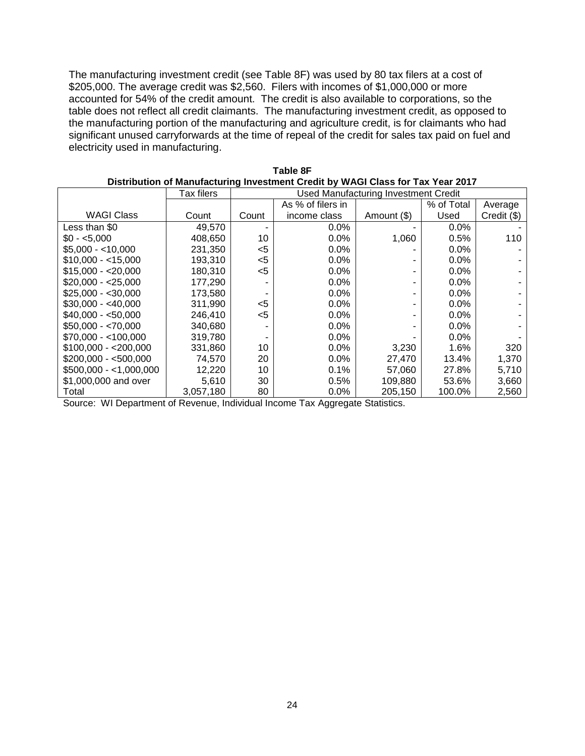The manufacturing investment credit (see Table 8F) was used by 80 tax filers at a cost of \$205,000. The average credit was \$2,560. Filers with incomes of \$1,000,000 or more accounted for 54% of the credit amount. The credit is also available to corporations, so the table does not reflect all credit claimants. The manufacturing investment credit, as opposed to the manufacturing portion of the manufacturing and agriculture credit, is for claimants who had significant unused carryforwards at the time of repeal of the credit for sales tax paid on fuel and electricity used in manufacturing.

| Distribution of manufacturing investment Orean by 11701 Oldss for Tax Teal ZVTT |            |                                             |                   |             |            |             |  |
|---------------------------------------------------------------------------------|------------|---------------------------------------------|-------------------|-------------|------------|-------------|--|
|                                                                                 | Tax filers | <b>Used Manufacturing Investment Credit</b> |                   |             |            |             |  |
|                                                                                 |            |                                             | As % of filers in |             | % of Total | Average     |  |
| <b>WAGI Class</b>                                                               | Count      | Count                                       | income class      | Amount (\$) | Used       | Credit (\$) |  |
| Less than \$0                                                                   | 49,570     |                                             | 0.0%              |             | 0.0%       |             |  |
| $$0 - 5,000$                                                                    | 408,650    | 10                                          | 0.0%              | 1,060       | 0.5%       | 110         |  |
| $$5,000 - <10,000$                                                              | 231,350    | <5                                          | $0.0\%$           |             | $0.0\%$    |             |  |
| $$10,000 - 15,000$                                                              | 193,310    | <5                                          | $0.0\%$           |             | $0.0\%$    |             |  |
| $$15,000 - $20,000$                                                             | 180,310    | <5                                          | $0.0\%$           |             | $0.0\%$    |             |  |
| $$20.000 - $25.000$                                                             | 177,290    |                                             | 0.0%              |             | 0.0%       |             |  |
| $$25,000 - $30,000$                                                             | 173,580    |                                             | 0.0%              |             | 0.0%       |             |  |
| $$30,000 - $40,000$                                                             | 311,990    | <5                                          | 0.0%              |             | 0.0%       |             |  |
| $$40,000 - $50,000$                                                             | 246,410    | <5                                          | $0.0\%$           |             | 0.0%       |             |  |
| $$50,000 - $70,000$                                                             | 340,680    |                                             | 0.0%              |             | 0.0%       |             |  |
| $$70,000 - < 100,000$                                                           | 319,780    |                                             | 0.0%              |             | 0.0%       |             |  |
| $$100,000 - $200,000$                                                           | 331,860    | 10                                          | $0.0\%$           | 3,230       | 1.6%       | 320         |  |
| $$200,000 - $500,000$                                                           | 74,570     | 20                                          | $0.0\%$           | 27,470      | 13.4%      | 1,370       |  |
| $$500,000 - <1,000,000$                                                         | 12.220     | 10                                          | 0.1%              | 57.060      | 27.8%      | 5,710       |  |
| \$1,000,000 and over                                                            | 5,610      | 30                                          | $0.5\%$           | 109,880     | 53.6%      | 3,660       |  |
| Total                                                                           | 3,057,180  | 80                                          | $0.0\%$           | 205.150     | 100.0%     | 2,560       |  |

| Table 8F                                                                        |
|---------------------------------------------------------------------------------|
| Distribution of Manufacturing Investment Credit by WAGI Class for Tax Year 2017 |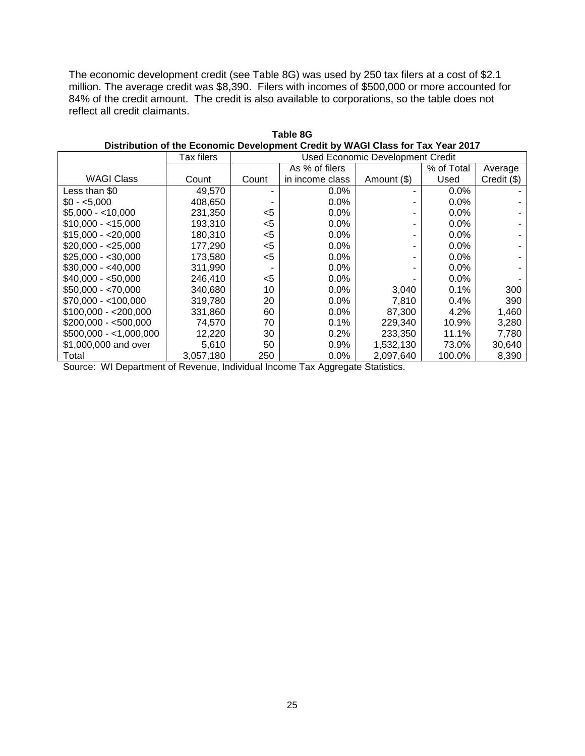The economic development credit (see Table 8G) was used by 250 tax filers at a cost of \$2.1 million. The average credit was \$8,390. Filers with incomes of \$500,000 or more accounted for 84% of the credit amount. The credit is also available to corporations, so the table does not reflect all credit claimants.

|                         | <b>Tax filers</b> | <b>Used Economic Development Credit</b> |                 |             |            |             |
|-------------------------|-------------------|-----------------------------------------|-----------------|-------------|------------|-------------|
|                         |                   |                                         | As % of filers  |             | % of Total | Average     |
| <b>WAGI Class</b>       | Count             | Count                                   | in income class | Amount (\$) | Used       | Credit (\$) |
| Less than \$0           | 49,570            | ۰                                       | 0.0%            |             | 0.0%       |             |
| $$0 - 5.000$            | 408,650           |                                         | 0.0%            |             | 0.0%       |             |
| $$5,000 - < 10,000$     | 231,350           | $<$ 5                                   | 0.0%            |             | 0.0%       |             |
| $$10,000 - < 15,000$    | 193,310           | $<$ 5                                   | $0.0\%$         |             | 0.0%       |             |
| $$15,000 - 20,000$      | 180,310           | $<$ 5                                   | $0.0\%$         |             | 0.0%       |             |
| $$20,000 - $25,000$     | 177,290           | $<$ 5                                   | $0.0\%$         |             | 0.0%       |             |
| $$25,000 - $30,000$     | 173.580           | $<$ 5                                   | $0.0\%$         |             | 0.0%       |             |
| $$30,000 - $40,000$     | 311,990           |                                         | 0.0%            |             | 0.0%       |             |
| $$40,000 - $50,000$     | 246,410           | $<$ 5                                   | $0.0\%$         |             | 0.0%       |             |
| $$50,000 - $70,000$     | 340,680           | 10                                      | $0.0\%$         | 3,040       | 0.1%       | 300         |
| $$70,000 - <100,000$    | 319,780           | 20                                      | $0.0\%$         | 7,810       | 0.4%       | 390         |
| $$100,000 - $200,000$   | 331,860           | 60                                      | $0.0\%$         | 87,300      | 4.2%       | 1,460       |
| $$200,000 - $500,000$   | 74,570            | 70                                      | 0.1%            | 229,340     | 10.9%      | 3,280       |
| $$500,000 - <1,000,000$ | 12,220            | 30                                      | 0.2%            | 233,350     | 11.1%      | 7,780       |
| \$1,000,000 and over    | 5,610             | 50                                      | $0.9\%$         | 1,532,130   | 73.0%      | 30,640      |
| Total                   | 3,057,180         | 250                                     | 0.0%            | 2,097,640   | 100.0%     | 8,390       |

**Table 8G Distribution of the Economic Development Credit by WAGI Class for Tax Year 2017**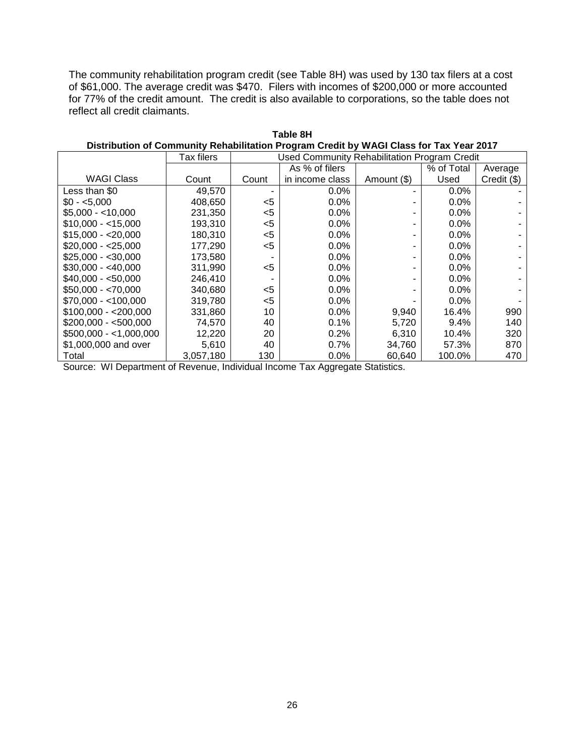The community rehabilitation program credit (see Table 8H) was used by 130 tax filers at a cost of \$61,000. The average credit was \$470. Filers with incomes of \$200,000 or more accounted for 77% of the credit amount. The credit is also available to corporations, so the table does not reflect all credit claimants.

|                         | <b>Tax filers</b> | <b>Used Community Rehabilitation Program Credit</b> |                 |             |            |             |
|-------------------------|-------------------|-----------------------------------------------------|-----------------|-------------|------------|-------------|
|                         |                   |                                                     | As % of filers  |             | % of Total | Average     |
| <b>WAGI Class</b>       | Count             | Count                                               | in income class | Amount (\$) | Used       | Credit (\$) |
| Less than \$0           | 49,570            |                                                     | 0.0%            |             | 0.0%       |             |
| $$0 - 5.000$            | 408,650           | <5                                                  | $0.0\%$         |             | $0.0\%$    |             |
| $$5,000 - < 10,000$     | 231,350           | $<$ 5                                               | 0.0%            |             | 0.0%       |             |
| $$10,000 - 15,000$      | 193,310           | $<$ 5                                               | 0.0%            |             | 0.0%       |             |
| $$15,000 - $20,000$     | 180,310           | $<$ 5                                               | 0.0%            |             | 0.0%       |             |
| $$20,000 - $25,000$     | 177,290           | $<$ 5                                               | 0.0%            |             | 0.0%       |             |
| $$25,000 - $30,000$     | 173,580           |                                                     | $0.0\%$         |             | 0.0%       |             |
| $$30,000 - $40,000$     | 311,990           | $5$                                                 | 0.0%            |             | 0.0%       |             |
| $$40,000 - $50,000$     | 246,410           |                                                     | $0.0\%$         |             | 0.0%       |             |
| $$50,000 - $70,000$     | 340,680           | $<$ 5                                               | 0.0%            |             | 0.0%       |             |
| $$70,000 - <100,000$    | 319,780           | $5$                                                 | 0.0%            |             | 0.0%       |             |
| $$100,000 - $200,000$   | 331,860           | 10                                                  | 0.0%            | 9,940       | 16.4%      | 990         |
| $$200,000 - $500,000$   | 74,570            | 40                                                  | 0.1%            | 5,720       | 9.4%       | 140         |
| $$500,000 - <1,000,000$ | 12,220            | 20                                                  | 0.2%            | 6,310       | 10.4%      | 320         |
| \$1,000,000 and over    | 5,610             | 40                                                  | 0.7%            | 34.760      | 57.3%      | 870         |
| Total                   | 3,057,180         | 130                                                 | 0.0%            | 60,640      | 100.0%     | 470         |

|                                                                                         | Table 8H |  |
|-----------------------------------------------------------------------------------------|----------|--|
| Distribution of Community Rehabilitation Program Credit by WAGI Class for Tax Year 2017 |          |  |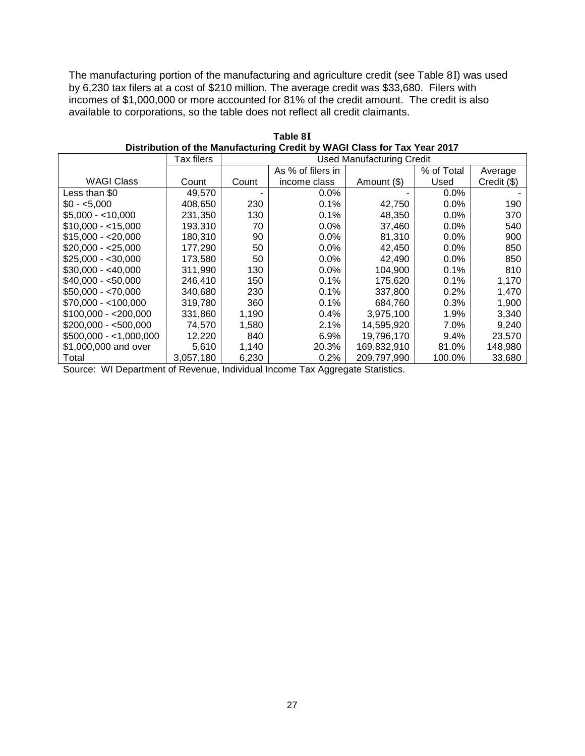The manufacturing portion of the manufacturing and agriculture credit (see Table 8I) was used by 6,230 tax filers at a cost of \$210 million. The average credit was \$33,680. Filers with incomes of \$1,000,000 or more accounted for 81% of the credit amount. The credit is also available to corporations, so the table does not reflect all credit claimants.

|                        | Tax filers |       | <b>Used Manufacturing Credit</b> |             |            |             |
|------------------------|------------|-------|----------------------------------|-------------|------------|-------------|
|                        |            |       | As % of filers in                |             | % of Total | Average     |
| <b>WAGI Class</b>      | Count      | Count | income class                     | Amount (\$) | Used       | Credit (\$) |
| Less than \$0          | 49.570     |       | $0.0\%$                          |             | $0.0\%$    |             |
| $$0 - 5.000$           | 408.650    | 230   | 0.1%                             | 42,750      | $0.0\%$    | 190         |
| $$5,000 - 10,000$      | 231,350    | 130   | 0.1%                             | 48,350      | 0.0%       | 370         |
| $$10.000 - 15.000$     | 193,310    | 70    | $0.0\%$                          | 37,460      | $0.0\%$    | 540         |
| $$15,000 - $20,000$    | 180,310    | 90    | 0.0%                             | 81,310      | $0.0\%$    | 900         |
| $$20,000 - $25,000$    | 177,290    | 50    | 0.0%                             | 42,450      | $0.0\%$    | 850         |
| $$25,000 - $30,000$    | 173.580    | 50    | 0.0%                             | 42,490      | $0.0\%$    | 850         |
| $$30,000 - $40,000$    | 311,990    | 130   | 0.0%                             | 104,900     | 0.1%       | 810         |
| $$40,000 - $50,000$    | 246,410    | 150   | 0.1%                             | 175,620     | 0.1%       | 1,170       |
| $$50,000 - $70,000$    | 340,680    | 230   | 0.1%                             | 337,800     | 0.2%       | 1,470       |
| $$70,000 - < 100,000$  | 319,780    | 360   | 0.1%                             | 684,760     | 0.3%       | 1,900       |
| $$100.000 - $200.000$  | 331.860    | 1,190 | $0.4\%$                          | 3,975,100   | 1.9%       | 3,340       |
| $$200.000 - $500.000$  | 74.570     | 1,580 | 2.1%                             | 14.595.920  | $7.0\%$    | 9,240       |
| $$500,000 - 1,000,000$ | 12.220     | 840   | 6.9%                             | 19,796,170  | 9.4%       | 23.570      |
| \$1,000,000 and over   | 5,610      | 1,140 | 20.3%                            | 169,832,910 | 81.0%      | 148,980     |
| Total                  | 3,057,180  | 6,230 | 0.2%                             | 209.797.990 | 100.0%     | 33,680      |

**Table 8I Distribution of the Manufacturing Credit by WAGI Class for Tax Year 2017**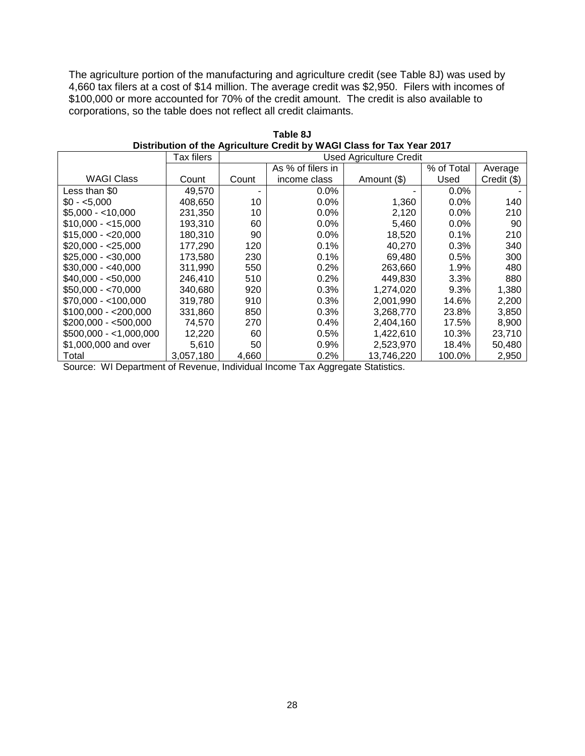The agriculture portion of the manufacturing and agriculture credit (see Table 8J) was used by 4,660 tax filers at a cost of \$14 million. The average credit was \$2,950. Filers with incomes of \$100,000 or more accounted for 70% of the credit amount. The credit is also available to corporations, so the table does not reflect all credit claimants.

|                        | Tax filers |       | <b>Used Agriculture Credit</b> |             |            |             |
|------------------------|------------|-------|--------------------------------|-------------|------------|-------------|
|                        |            |       | As % of filers in              |             | % of Total | Average     |
| <b>WAGI Class</b>      | Count      | Count | income class                   | Amount (\$) | Used       | Credit (\$) |
| Less than \$0          | 49,570     |       | $0.0\%$                        |             | $0.0\%$    |             |
| $$0 - 5.000$           | 408.650    | 10    | $0.0\%$                        | 1,360       | $0.0\%$    | 140         |
| $$5,000 - 10,000$      | 231,350    | 10    | $0.0\%$                        | 2,120       | $0.0\%$    | 210         |
| $$10.000 - 15.000$     | 193,310    | 60    | $0.0\%$                        | 5,460       | $0.0\%$    | 90          |
| $$15,000 - $20,000$    | 180,310    | 90    | $0.0\%$                        | 18,520      | 0.1%       | 210         |
| $$20.000 - $25.000$    | 177,290    | 120   | 0.1%                           | 40.270      | 0.3%       | 340         |
| $$25,000 - $30,000$    | 173,580    | 230   | 0.1%                           | 69,480      | 0.5%       | 300         |
| $$30.000 - $40.000$    | 311,990    | 550   | 0.2%                           | 263,660     | 1.9%       | 480         |
| $$40,000 - $50,000$    | 246,410    | 510   | 0.2%                           | 449,830     | 3.3%       | 880         |
| $$50,000 - $70,000$    | 340.680    | 920   | 0.3%                           | 1,274,020   | 9.3%       | 1,380       |
| $$70,000 - < 100,000$  | 319,780    | 910   | 0.3%                           | 2,001,990   | 14.6%      | 2,200       |
| $$100.000 - $200.000$  | 331,860    | 850   | 0.3%                           | 3,268,770   | 23.8%      | 3,850       |
| $$200.000 - $500.000$  | 74,570     | 270   | 0.4%                           | 2,404,160   | 17.5%      | 8,900       |
| $$500,000 - 1,000,000$ | 12,220     | 60    | 0.5%                           | 1,422,610   | 10.3%      | 23,710      |
| \$1,000,000 and over   | 5,610      | 50    | 0.9%                           | 2,523,970   | 18.4%      | 50,480      |
| Total                  | 3,057,180  | 4,660 | 0.2%                           | 13,746,220  | 100.0%     | 2,950       |

**Table 8J Distribution of the Agriculture Credit by WAGI Class for Tax Year 2017**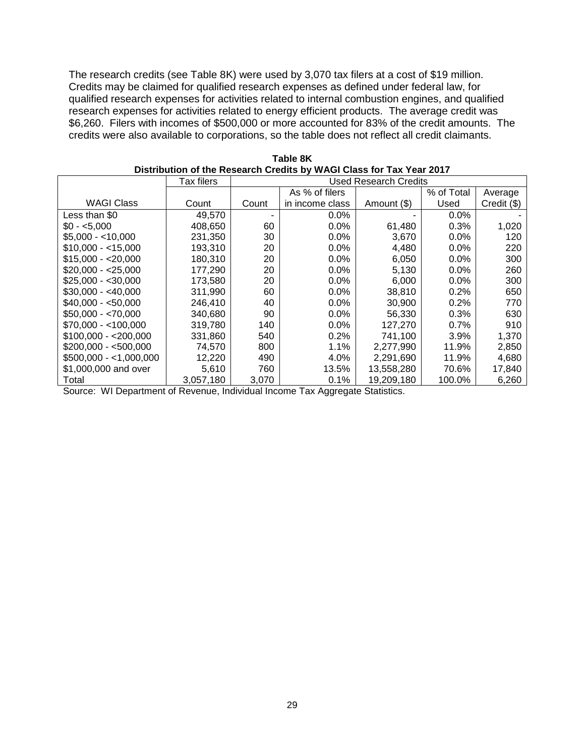The research credits (see Table 8K) were used by 3,070 tax filers at a cost of \$19 million. Credits may be claimed for qualified research expenses as defined under federal law, for qualified research expenses for activities related to internal combustion engines, and qualified research expenses for activities related to energy efficient products. The average credit was \$6,260. Filers with incomes of \$500,000 or more accounted for 83% of the credit amounts. The credits were also available to corporations, so the table does not reflect all credit claimants.

|                        | Tax filers | Used Research Credits |                 |             |            |             |
|------------------------|------------|-----------------------|-----------------|-------------|------------|-------------|
|                        |            |                       | As % of filers  |             | % of Total | Average     |
| WAGI Class             | Count      | Count                 | in income class | Amount (\$) | Used       | Credit (\$) |
| Less than \$0          | 49,570     | ٠                     | $0.0\%$         |             | $0.0\%$    |             |
| $$0 - 5.000$           | 408,650    | 60                    | $0.0\%$         | 61,480      | 0.3%       | 1,020       |
| $$5,000 - < 10,000$    | 231,350    | 30                    | $0.0\%$         | 3,670       | $0.0\%$    | 120         |
| $$10,000 - < 15,000$   | 193,310    | 20                    | $0.0\%$         | 4,480       | $0.0\%$    | 220         |
| $$15,000 - $20,000$    | 180,310    | 20                    | $0.0\%$         | 6,050       | $0.0\%$    | 300         |
| $$20,000 - $25,000$    | 177,290    | 20                    | $0.0\%$         | 5,130       | $0.0\%$    | 260         |
| $$25,000 - $30,000$    | 173,580    | 20                    | $0.0\%$         | 6,000       | $0.0\%$    | 300         |
| $$30,000 - $40,000$    | 311,990    | 60                    | $0.0\%$         | 38,810      | 0.2%       | 650         |
| $$40,000 - $50,000$    | 246,410    | 40                    | $0.0\%$         | 30,900      | $0.2\%$    | 770         |
| $$50,000 - $70,000$    | 340,680    | 90                    | $0.0\%$         | 56,330      | 0.3%       | 630         |
| $$70,000 - < 100,000$  | 319,780    | 140                   | $0.0\%$         | 127,270     | $0.7\%$    | 910         |
| $$100.000 - $200.000$  | 331,860    | 540                   | $0.2\%$         | 741.100     | $3.9\%$    | 1,370       |
| $$200,000 - $500,000$  | 74,570     | 800                   | $1.1\%$         | 2,277,990   | 11.9%      | 2,850       |
| $$500,000 - 1,000,000$ | 12,220     | 490                   | 4.0%            | 2,291,690   | 11.9%      | 4,680       |
| \$1,000,000 and over   | 5,610      | 760                   | 13.5%           | 13,558,280  | 70.6%      | 17,840      |
| Total                  | 3,057,180  | 3.070                 | $0.1\%$         | 19,209,180  | 100.0%     | 6,260       |

| Table 8K                                                             |
|----------------------------------------------------------------------|
| Distribution of the Research Credits by WAGI Class for Tax Year 2017 |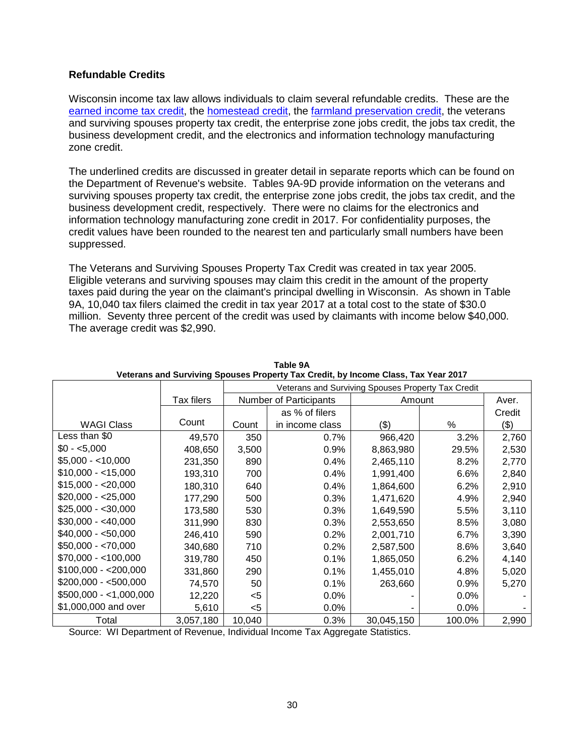# **Refundable Credits**

Wisconsin income tax law allows individuals to claim several refundable credits. These are the [earned income tax credit,](https://www.revenue.wi.gov/DORReports/2017EITCsum.pdf) the [homestead credit,](https://www.revenue.wi.gov/DORReports/2018hmsted.pdf) the [farmland preservation credit,](https://www.revenue.wi.gov/DORReports/2018Payments.pdf) the veterans and surviving spouses property tax credit, the enterprise zone jobs credit, the jobs tax credit, the business development credit, and the electronics and information technology manufacturing zone credit.

The underlined credits are discussed in greater detail in separate reports which can be found on the Department of Revenue's website. Tables 9A-9D provide information on the veterans and surviving spouses property tax credit, the enterprise zone jobs credit, the jobs tax credit, and the business development credit, respectively. There were no claims for the electronics and information technology manufacturing zone credit in 2017. For confidentiality purposes, the credit values have been rounded to the nearest ten and particularly small numbers have been suppressed.

The Veterans and Surviving Spouses Property Tax Credit was created in tax year 2005. Eligible veterans and surviving spouses may claim this credit in the amount of the property taxes paid during the year on the claimant's principal dwelling in Wisconsin. As shown in Table 9A, 10,040 tax filers claimed the credit in tax year 2017 at a total cost to the state of \$30.0 million. Seventy three percent of the credit was used by claimants with income below \$40,000. The average credit was \$2,990.

|                         |                   | Veterans and Surviving Spouses Property Tax Credit |                 |            |         |        |
|-------------------------|-------------------|----------------------------------------------------|-----------------|------------|---------|--------|
|                         | <b>Tax filers</b> | Number of Participants                             |                 |            | Amount  |        |
|                         |                   |                                                    | as % of filers  |            |         | Credit |
| <b>WAGI Class</b>       | Count             | Count                                              | in income class | (\$)       | %       | (3)    |
| Less than \$0           | 49,570            | 350                                                | 0.7%            | 966,420    | 3.2%    | 2,760  |
| $$0 - 5,000$            | 408,650           | 3,500                                              | 0.9%            | 8,863,980  | 29.5%   | 2,530  |
| $$5,000 - <10,000$      | 231,350           | 890                                                | 0.4%            | 2,465,110  | 8.2%    | 2,770  |
| $$10,000 - < 15,000$    | 193,310           | 700                                                | 0.4%            | 1,991,400  | 6.6%    | 2,840  |
| $$15,000 - $20,000$     | 180,310           | 640                                                | 0.4%            | 1,864,600  | 6.2%    | 2,910  |
| $$20,000 - $25,000$     | 177,290           | 500                                                | 0.3%            | 1,471,620  | 4.9%    | 2,940  |
| $$25,000 - $30,000$     | 173,580           | 530                                                | 0.3%            | 1,649,590  | 5.5%    | 3,110  |
| $$30,000 - $40,000$     | 311,990           | 830                                                | 0.3%            | 2,553,650  | 8.5%    | 3,080  |
| $$40,000 - $50,000$     | 246,410           | 590                                                | 0.2%            | 2,001,710  | 6.7%    | 3,390  |
| $$50,000 - $70,000$     | 340,680           | 710                                                | 0.2%            | 2,587,500  | 8.6%    | 3,640  |
| $$70,000 - <100,000$    | 319,780           | 450                                                | 0.1%            | 1,865,050  | 6.2%    | 4,140  |
| $$100,000 - $200,000$   | 331,860           | 290                                                | 0.1%            | 1,455,010  | 4.8%    | 5,020  |
| $$200,000 - $500,000$   | 74,570            | 50                                                 | 0.1%            | 263,660    | 0.9%    | 5,270  |
| $$500,000 - <1,000,000$ | 12,220            | <5                                                 | 0.0%            |            | $0.0\%$ |        |
| \$1,000,000 and over    | 5,610             | $<$ 5                                              | 0.0%            |            | $0.0\%$ |        |
| Total                   | 3,057,180         | 10,040                                             | 0.3%            | 30,045,150 | 100.0%  | 2,990  |

**Table 9A Veterans and Surviving Spouses Property Tax Credit, by Income Class, Tax Year 2017**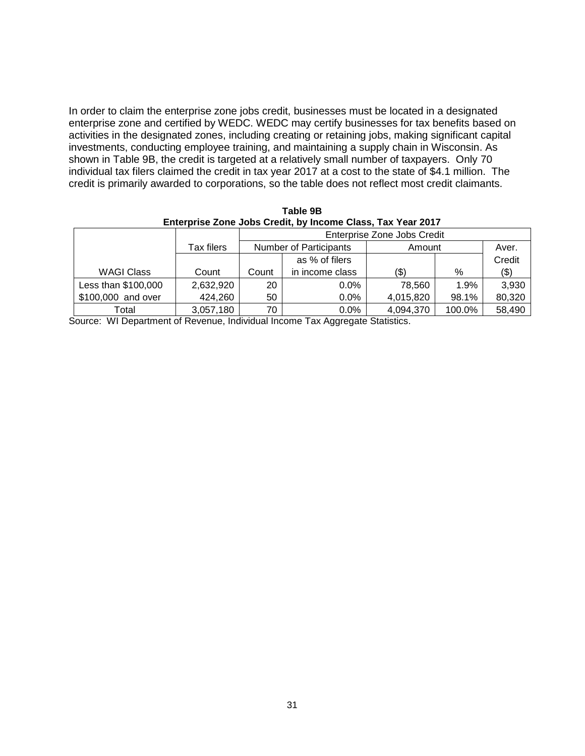In order to claim the enterprise zone jobs credit, businesses must be located in a designated enterprise zone and certified by WEDC. WEDC may certify businesses for tax benefits based on activities in the designated zones, including creating or retaining jobs, making significant capital investments, conducting employee training, and maintaining a supply chain in Wisconsin. As shown in Table 9B, the credit is targeted at a relatively small number of taxpayers. Only 70 individual tax filers claimed the credit in tax year 2017 at a cost to the state of \$4.1 million. The credit is primarily awarded to corporations, so the table does not reflect most credit claimants.

**Table 9B Enterprise Zone Jobs Credit, by Income Class, Tax Year 2017**

|                     |            |                        | Enterprise Zone Jobs Credit |           |        |        |  |
|---------------------|------------|------------------------|-----------------------------|-----------|--------|--------|--|
|                     | Tax filers | Number of Participants |                             | Amount    |        | Aver.  |  |
|                     |            |                        | as % of filers              |           |        | Credit |  |
| <b>WAGI Class</b>   | Count      | Count                  | in income class             | (\$)      | %      | (3)    |  |
| Less than \$100,000 | 2,632,920  | 20                     | $0.0\%$                     | 78.560    | 1.9%   | 3,930  |  |
| \$100,000 and over  | 424,260    | 50                     | $0.0\%$                     | 4,015,820 | 98.1%  | 80,320 |  |
| Total               | 3,057,180  | 70                     | $0.0\%$                     | 4,094,370 | 100.0% | 58,490 |  |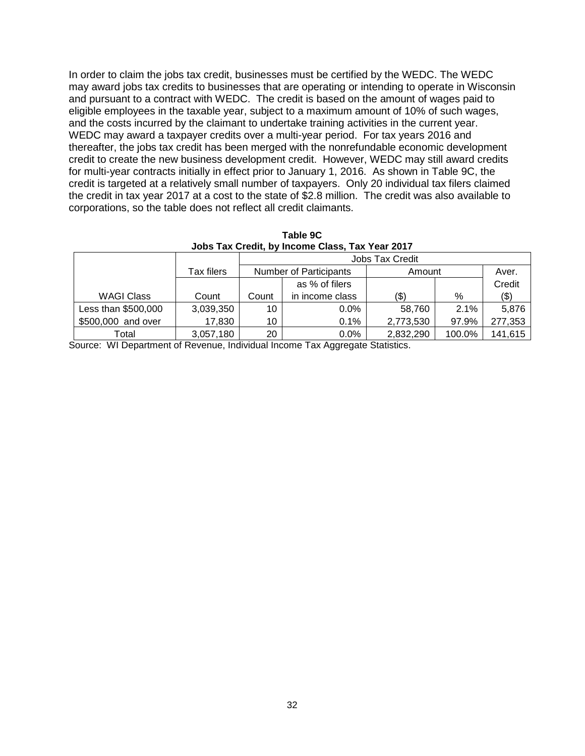In order to claim the jobs tax credit, businesses must be certified by the WEDC. The WEDC may award jobs tax credits to businesses that are operating or intending to operate in Wisconsin and pursuant to a contract with WEDC. The credit is based on the amount of wages paid to eligible employees in the taxable year, subject to a maximum amount of 10% of such wages, and the costs incurred by the claimant to undertake training activities in the current year. WEDC may award a taxpayer credits over a multi-year period. For tax years 2016 and thereafter, the jobs tax credit has been merged with the nonrefundable economic development credit to create the new business development credit. However, WEDC may still award credits for multi-year contracts initially in effect prior to January 1, 2016. As shown in Table 9C, the credit is targeted at a relatively small number of taxpayers. Only 20 individual tax filers claimed the credit in tax year 2017 at a cost to the state of \$2.8 million. The credit was also available to corporations, so the table does not reflect all credit claimants.

|                                                 | Table 9C |  |
|-------------------------------------------------|----------|--|
| Jobs Tax Credit, by Income Class, Tax Year 2017 |          |  |

|                     |            | Jobs Tax Credit               |                 |           |        |         |  |
|---------------------|------------|-------------------------------|-----------------|-----------|--------|---------|--|
|                     | Tax filers | <b>Number of Participants</b> |                 | Amount    |        | Aver.   |  |
|                     |            |                               | as % of filers  |           |        | Credit  |  |
| <b>WAGI Class</b>   | Count      | Count                         | in income class | (\$)      | %      | $(\$)$  |  |
| Less than \$500,000 | 3,039,350  | 10                            | $0.0\%$         | 58,760    | 2.1%   | 5,876   |  |
| \$500,000 and over  | 17,830     | 10                            | 0.1%            | 2,773,530 | 97.9%  | 277,353 |  |
| Total               | 3,057,180  | 20                            | $0.0\%$         | 2,832,290 | 100.0% | 141,615 |  |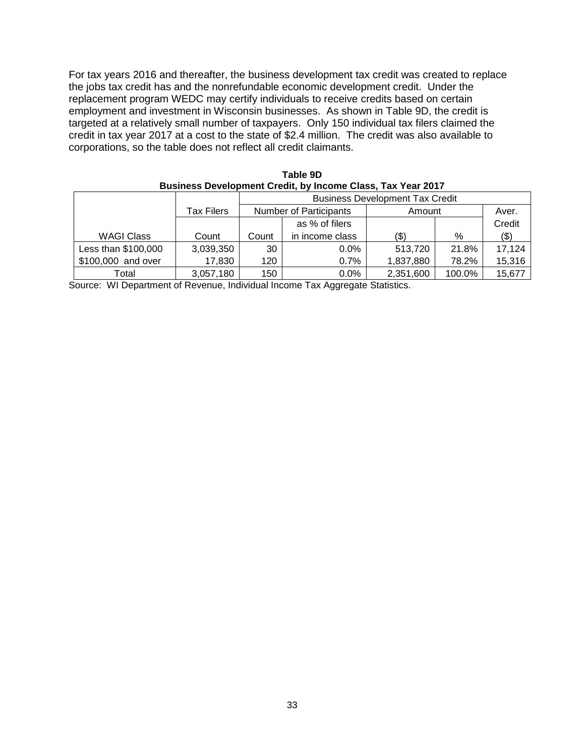For tax years 2016 and thereafter, the business development tax credit was created to replace the jobs tax credit has and the nonrefundable economic development credit. Under the replacement program WEDC may certify individuals to receive credits based on certain employment and investment in Wisconsin businesses. As shown in Table 9D, the credit is targeted at a relatively small number of taxpayers. Only 150 individual tax filers claimed the credit in tax year 2017 at a cost to the state of \$2.4 million. The credit was also available to corporations, so the table does not reflect all credit claimants.

| Business Development Credit, by Income Class, Tax Year 2017 |            |       |                                         |           |        |         |  |  |  |
|-------------------------------------------------------------|------------|-------|-----------------------------------------|-----------|--------|---------|--|--|--|
|                                                             |            |       | <b>Business Development Tax Credit</b>  |           |        |         |  |  |  |
|                                                             | Tax Filers |       | <b>Number of Participants</b><br>Amount |           |        |         |  |  |  |
|                                                             |            |       | as % of filers                          |           |        | Credit  |  |  |  |
| WAGI Class                                                  | Count      | Count | in income class                         | (\$)      | %      | $($ \$) |  |  |  |
| Less than \$100,000                                         | 3,039,350  | 30    | $0.0\%$                                 | 513.720   | 21.8%  | 17,124  |  |  |  |
| \$100,000 and over                                          | 17,830     | 120   | $0.7\%$                                 | 1,837,880 | 78.2%  | 15,316  |  |  |  |
| Total                                                       | 3,057,180  | 150   | $0.0\%$                                 | 2,351,600 | 100.0% | 15,677  |  |  |  |

| Table 9D                                                           |  |
|--------------------------------------------------------------------|--|
| <b>Business Development Credit, by Income Class, Tax Year 2017</b> |  |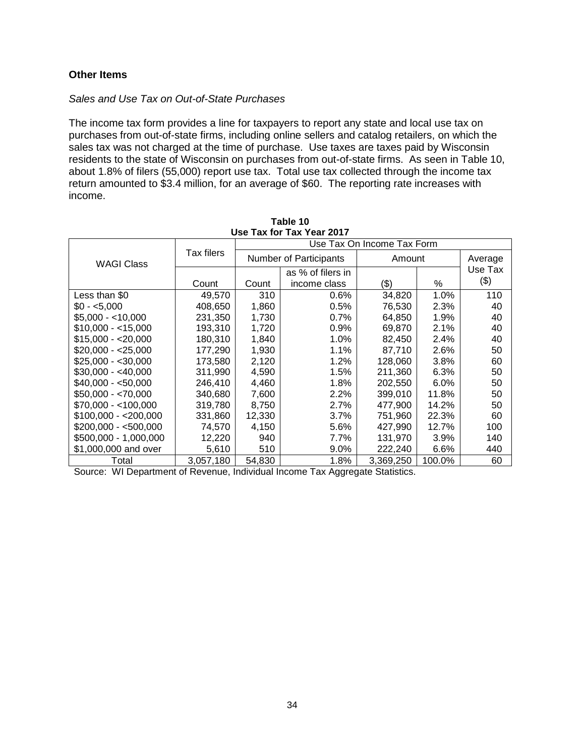### **Other Items**

#### *Sales and Use Tax on Out-of-State Purchases*

The income tax form provides a line for taxpayers to report any state and local use tax on purchases from out-of-state firms, including online sellers and catalog retailers, on which the sales tax was not charged at the time of purchase. Use taxes are taxes paid by Wisconsin residents to the state of Wisconsin on purchases from out-of-state firms. As seen in Table 10, about 1.8% of filers (55,000) report use tax. Total use tax collected through the income tax return amounted to \$3.4 million, for an average of \$60. The reporting rate increases with income.

| USE Tax for Tax Year 2017 |                   |        |                            |           |         |         |  |  |  |
|---------------------------|-------------------|--------|----------------------------|-----------|---------|---------|--|--|--|
|                           |                   |        | Use Tax On Income Tax Form |           |         |         |  |  |  |
| <b>WAGI Class</b>         | <b>Tax filers</b> |        | Number of Participants     | Amount    |         | Average |  |  |  |
|                           |                   |        | as % of filers in          |           |         | Use Tax |  |  |  |
|                           | Count             | Count  | income class               | (\$)      | ℅       | $(\$)$  |  |  |  |
| Less than \$0             | 49,570            | 310    | $0.6\%$                    | 34,820    | 1.0%    | 110     |  |  |  |
| $$0 - 5,000$              | 408.650           | 1,860  | 0.5%                       | 76,530    | 2.3%    | 40      |  |  |  |
| $$5,000 - < 10,000$       | 231,350           | 1,730  | 0.7%                       | 64,850    | 1.9%    | 40      |  |  |  |
| $$10,000 - < 15,000$      | 193,310           | 1,720  | 0.9%                       | 69,870    | 2.1%    | 40      |  |  |  |
| $$15,000 - $20,000$       | 180,310           | 1,840  | $1.0\%$                    | 82,450    | $2.4\%$ | 40      |  |  |  |
| $$20,000 - $25,000$       | 177,290           | 1,930  | $1.1\%$                    | 87,710    | 2.6%    | 50      |  |  |  |
| $$25,000 - $30,000$       | 173,580           | 2,120  | $1.2\%$                    | 128,060   | 3.8%    | 60      |  |  |  |
| $$30,000 - $40,000$       | 311,990           | 4,590  | 1.5%                       | 211,360   | 6.3%    | 50      |  |  |  |
| $$40,000 - $50,000$       | 246,410           | 4,460  | $1.8\%$                    | 202,550   | $6.0\%$ | 50      |  |  |  |
| $$50,000 - $70,000$       | 340,680           | 7,600  | 2.2%                       | 399,010   | 11.8%   | 50      |  |  |  |
| $$70,000 - <100,000$      | 319,780           | 8,750  | 2.7%                       | 477,900   | 14.2%   | 50      |  |  |  |
| $$100,000 - $200,000$     | 331,860           | 12,330 | 3.7%                       | 751,960   | 22.3%   | 60      |  |  |  |
| $$200,000 - $500,000$     | 74,570            | 4,150  | 5.6%                       | 427,990   | 12.7%   | 100     |  |  |  |
| \$500,000 - 1,000,000     | 12,220            | 940    | 7.7%                       | 131,970   | 3.9%    | 140     |  |  |  |
| \$1,000,000 and over      | 5,610             | 510    | $9.0\%$                    | 222,240   | 6.6%    | 440     |  |  |  |
| Total                     | 3,057,180         | 54,830 | 1.8%                       | 3,369,250 | 100.0%  | 60      |  |  |  |

|  | Table 10 |                           |  |
|--|----------|---------------------------|--|
|  |          | Use Tax for Tax Year 2017 |  |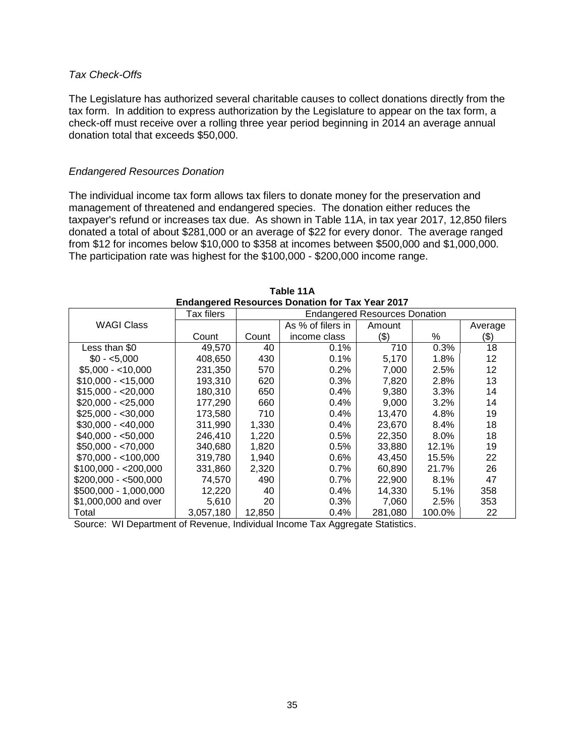#### *Tax Check-Offs*

The Legislature has authorized several charitable causes to collect donations directly from the tax form. In addition to express authorization by the Legislature to appear on the tax form, a check-off must receive over a rolling three year period beginning in 2014 an average annual donation total that exceeds \$50,000.

#### *Endangered Resources Donation*

The individual income tax form allows tax filers to donate money for the preservation and management of threatened and endangered species. The donation either reduces the taxpayer's refund or increases tax due. As shown in Table 11A, in tax year 2017, 12,850 filers donated a total of about \$281,000 or an average of \$22 for every donor. The average ranged from \$12 for incomes below \$10,000 to \$358 at incomes between \$500,000 and \$1,000,000. The participation rate was highest for the \$100,000 - \$200,000 income range.

| Endangered Resources Donation for Tax Tear 2017 |            |                                      |                   |         |         |         |  |  |  |
|-------------------------------------------------|------------|--------------------------------------|-------------------|---------|---------|---------|--|--|--|
|                                                 | Tax filers | <b>Endangered Resources Donation</b> |                   |         |         |         |  |  |  |
| <b>WAGI Class</b>                               |            |                                      | As % of filers in | Amount  |         | Average |  |  |  |
|                                                 | Count      | Count                                | income class      | $($ \$) | %       | (\$)    |  |  |  |
| Less than \$0                                   | 49.570     | 40                                   | 0.1%              | 710     | 0.3%    | 18      |  |  |  |
| $$0 - 5,000$                                    | 408,650    | 430                                  | 0.1%              | 5,170   | 1.8%    | 12      |  |  |  |
| $$5,000 - < 10,000$                             | 231,350    | 570                                  | 0.2%              | 7,000   | 2.5%    | 12      |  |  |  |
| $$10,000 - < 15,000$                            | 193,310    | 620                                  | 0.3%              | 7,820   | 2.8%    | 13      |  |  |  |
| $$15,000 - $20,000$                             | 180,310    | 650                                  | 0.4%              | 9,380   | 3.3%    | 14      |  |  |  |
| $$20.000 - $25,000$                             | 177.290    | 660                                  | 0.4%              | 9.000   | $3.2\%$ | 14      |  |  |  |
| $$25,000 - $30,000$                             | 173,580    | 710                                  | 0.4%              | 13,470  | 4.8%    | 19      |  |  |  |
| $$30,000 - $40,000$                             | 311,990    | 1,330                                | 0.4%              | 23.670  | 8.4%    | 18      |  |  |  |
| $$40,000 - $50,000$                             | 246.410    | 1,220                                | 0.5%              | 22.350  | $8.0\%$ | 18      |  |  |  |
| $$50,000 - $70,000$                             | 340,680    | 1,820                                | 0.5%              | 33,880  | 12.1%   | 19      |  |  |  |
| $$70,000 - < 100,000$                           | 319.780    | 1,940                                | $0.6\%$           | 43.450  | 15.5%   | 22      |  |  |  |
| $$100,000 - $200,000$                           | 331,860    | 2,320                                | 0.7%              | 60.890  | 21.7%   | 26      |  |  |  |
| $$200,000 - $500,000$                           | 74,570     | 490                                  | 0.7%              | 22,900  | 8.1%    | 47      |  |  |  |
| \$500,000 - 1,000,000                           | 12,220     | 40                                   | 0.4%              | 14,330  | 5.1%    | 358     |  |  |  |
| \$1,000,000 and over                            | 5,610      | 20                                   | 0.3%              | 7,060   | 2.5%    | 353     |  |  |  |
| Total                                           | 3,057,180  | 12,850                               | $0.4\%$           | 281.080 | 100.0%  | 22      |  |  |  |

**Table 11A Endangered Resources Donation for Tax Year 2017**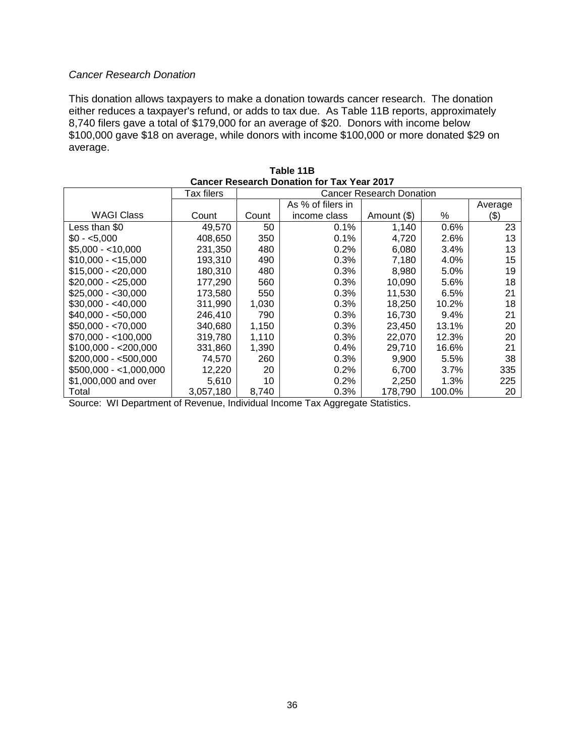### *Cancer Research Donation*

This donation allows taxpayers to make a donation towards cancer research. The donation either reduces a taxpayer's refund, or adds to tax due. As Table 11B reports, approximately 8,740 filers gave a total of \$179,000 for an average of \$20. Donors with income below \$100,000 gave \$18 on average, while donors with income \$100,000 or more donated \$29 on average.

| Cancer Research Donation for Tax Year 2017 |            |       |                   |                                 |         |         |  |  |  |  |
|--------------------------------------------|------------|-------|-------------------|---------------------------------|---------|---------|--|--|--|--|
|                                            | Tax filers |       |                   | <b>Cancer Research Donation</b> |         |         |  |  |  |  |
|                                            |            |       | As % of filers in |                                 |         | Average |  |  |  |  |
| <b>WAGI Class</b>                          | Count      | Count | income class      | Amount (\$)                     | ℅       | $(\$)$  |  |  |  |  |
| Less than \$0                              | 49,570     | 50    | $0.1\%$           | 1,140                           | 0.6%    | 23      |  |  |  |  |
| $$0 - 5.000$                               | 408,650    | 350   | 0.1%              | 4,720                           | 2.6%    | 13      |  |  |  |  |
| $$5.000 - $10.000$                         | 231,350    | 480   | $0.2\%$           | 6,080                           | 3.4%    | 13      |  |  |  |  |
| $$10,000 - 15,000$                         | 193,310    | 490   | 0.3%              | 7,180                           | 4.0%    | 15      |  |  |  |  |
| $$15,000 - 20,000$                         | 180,310    | 480   | $0.3\%$           | 8,980                           | 5.0%    | 19      |  |  |  |  |
| \$20,000 - <25,000                         | 177,290    | 560   | $0.3\%$           | 10,090                          | 5.6%    | 18      |  |  |  |  |
| \$25.000 - <30.000                         | 173.580    | 550   | $0.3\%$           | 11,530                          | 6.5%    | 21      |  |  |  |  |
| $$30.000 - $40.000$                        | 311.990    | 1,030 | $0.3\%$           | 18.250                          | 10.2%   | 18      |  |  |  |  |
| $$40,000 - $50,000$                        | 246,410    | 790   | $0.3\%$           | 16,730                          | $9.4\%$ | 21      |  |  |  |  |
| $$50,000 - $70,000$                        | 340.680    | 1,150 | 0.3%              | 23.450                          | 13.1%   | 20      |  |  |  |  |
| \$70.000 - <100.000                        | 319,780    | 1,110 | 0.3%              | 22,070                          | 12.3%   | 20      |  |  |  |  |
| $$100,000 - $200,000$                      | 331,860    | 1,390 | $0.4\%$           | 29,710                          | 16.6%   | 21      |  |  |  |  |
| $$200,000 - $500,000$                      | 74,570     | 260   | $0.3\%$           | 9,900                           | 5.5%    | 38      |  |  |  |  |
| $$500,000 - <1,000,000$                    | 12,220     | 20    | $0.2\%$           | 6,700                           | $3.7\%$ | 335     |  |  |  |  |
| \$1,000,000 and over                       | 5.610      | 10    | $0.2\%$           | 2,250                           | 1.3%    | 225     |  |  |  |  |
| Total                                      | 3,057,180  | 8,740 | 0.3%              | 178,790                         | 100.0%  | 20      |  |  |  |  |

**Table 11B Cancer Research Donation for Tax Year 2017**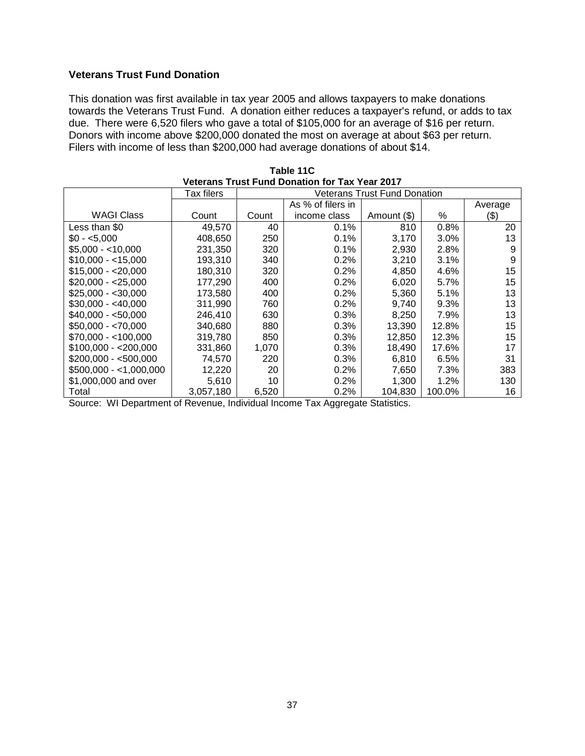### **Veterans Trust Fund Donation**

This donation was first available in tax year 2005 and allows taxpayers to make donations towards the Veterans Trust Fund. A donation either reduces a taxpayer's refund, or adds to tax due. There were 6,520 filers who gave a total of \$105,000 for an average of \$16 per return. Donors with income above \$200,000 donated the most on average at about \$63 per return. Filers with income of less than \$200,000 had average donations of about \$14.

| Veterans Trust Fund Donation for Tax Year 2017 |            |       |                   |                                     |         |         |  |  |  |
|------------------------------------------------|------------|-------|-------------------|-------------------------------------|---------|---------|--|--|--|
|                                                | Tax filers |       |                   | <b>Veterans Trust Fund Donation</b> |         |         |  |  |  |
|                                                |            |       | As % of filers in |                                     |         | Average |  |  |  |
| <b>WAGI Class</b>                              | Count      | Count | income class      | Amount (\$)                         | ℅       | (\$)    |  |  |  |
| Less than \$0                                  | 49,570     | 40    | 0.1%              | 810                                 | 0.8%    | 20      |  |  |  |
| $$0 - 5.000$                                   | 408,650    | 250   | 0.1%              | 3,170                               | $3.0\%$ | 13      |  |  |  |
| $$5.000 - 10.000$                              | 231,350    | 320   | 0.1%              | 2,930                               | 2.8%    | 9       |  |  |  |
| $$10,000 - 15,000$                             | 193,310    | 340   | 0.2%              | 3,210                               | 3.1%    | 9       |  |  |  |
| $$15,000 - $20,000$                            | 180,310    | 320   | 0.2%              | 4,850                               | 4.6%    | 15      |  |  |  |
| $$20,000 - $25,000$                            | 177,290    | 400   | 0.2%              | 6,020                               | 5.7%    | 15      |  |  |  |
| $$25.000 - $30.000$                            | 173.580    | 400   | 0.2%              | 5,360                               | 5.1%    | 13      |  |  |  |
| $$30,000 - $40,000$                            | 311.990    | 760   | 0.2%              | 9,740                               | 9.3%    | 13      |  |  |  |
| $$40,000 - $50,000$                            | 246,410    | 630   | 0.3%              | 8,250                               | 7.9%    | 13      |  |  |  |
| $$50,000 - $70,000$                            | 340,680    | 880   | 0.3%              | 13,390                              | 12.8%   | 15      |  |  |  |
| $$70,000 - < 100,000$                          | 319,780    | 850   | 0.3%              | 12,850                              | 12.3%   | 15      |  |  |  |
| $$100,000 - $200,000$                          | 331,860    | 1,070 | 0.3%              | 18,490                              | 17.6%   | 17      |  |  |  |
| $$200,000 - $500,000$                          | 74,570     | 220   | 0.3%              | 6,810                               | 6.5%    | 31      |  |  |  |
| $$500,000 - <1,000,000$                        | 12,220     | 20    | 0.2%              | 7,650                               | 7.3%    | 383     |  |  |  |
| \$1,000,000 and over                           | 5,610      | 10    | 0.2%              | 1,300                               | 1.2%    | 130     |  |  |  |
| Total                                          | 3,057,180  | 6,520 | 0.2%              | 104,830                             | 100.0%  | 16      |  |  |  |

**Table 11C Veterans Trust Fund Donation for Tax Year 2017**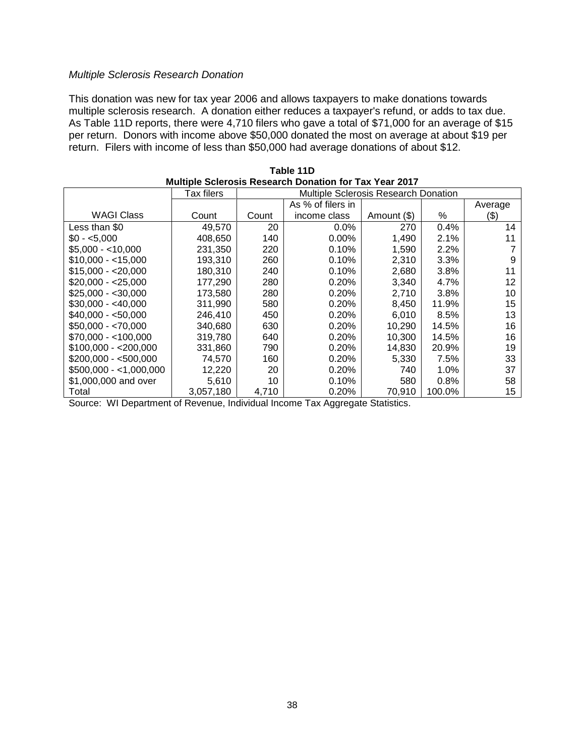#### *Multiple Sclerosis Research Donation*

This donation was new for tax year 2006 and allows taxpayers to make donations towards multiple sclerosis research. A donation either reduces a taxpayer's refund, or adds to tax due. As Table 11D reports, there were 4,710 filers who gave a total of \$71,000 for an average of \$15 per return. Donors with income above \$50,000 donated the most on average at about \$19 per return. Filers with income of less than \$50,000 had average donations of about \$12.

| Multiple Scierosis Research Donation for Tax Year 2017 |            |                                             |                   |             |         |         |  |  |  |
|--------------------------------------------------------|------------|---------------------------------------------|-------------------|-------------|---------|---------|--|--|--|
|                                                        | Tax filers | <b>Multiple Sclerosis Research Donation</b> |                   |             |         |         |  |  |  |
|                                                        |            |                                             | As % of filers in |             |         | Average |  |  |  |
| <b>WAGI Class</b>                                      | Count      | Count                                       | income class      | Amount (\$) | ℅       | (\$)    |  |  |  |
| Less than \$0                                          | 49,570     | 20                                          | $0.0\%$           | 270         | 0.4%    | 14      |  |  |  |
| $$0 - 5,000$                                           | 408,650    | 140                                         | $0.00\%$          | 1,490       | 2.1%    |         |  |  |  |
| $$5,000 - < 10,000$                                    | 231,350    | 220                                         | 0.10%             | 1,590       | 2.2%    |         |  |  |  |
| $$10,000 - 15,000$                                     | 193.310    | 260                                         | 0.10%             | 2,310       | 3.3%    | 9       |  |  |  |
| $$15,000 - $20,000$                                    | 180,310    | 240                                         | 0.10%             | 2,680       | 3.8%    |         |  |  |  |
| \$20,000 - <25,000                                     | 177,290    | 280                                         | 0.20%             | 3,340       | 4.7%    | 12      |  |  |  |
| \$25,000 - <30,000                                     | 173,580    | 280                                         | 0.20%             | 2,710       | 3.8%    | 10      |  |  |  |
| $$30,000 - $40,000$                                    | 311.990    | 580                                         | 0.20%             | 8,450       | 11.9%   | 15      |  |  |  |
| $$40.000 - $50.000$                                    | 246,410    | 450                                         | 0.20%             | 6,010       | 8.5%    | 13      |  |  |  |
| $$50,000 - $70,000$                                    | 340,680    | 630                                         | 0.20%             | 10,290      | 14.5%   | 16      |  |  |  |
| $$70,000 - < 100,000$                                  | 319,780    | 640                                         | 0.20%             | 10,300      | 14.5%   | 16      |  |  |  |
| $$100,000 - $200,000$                                  | 331,860    | 790                                         | 0.20%             | 14,830      | 20.9%   | 19      |  |  |  |
| $$200,000 - $500,000$                                  | 74,570     | 160                                         | 0.20%             | 5,330       | 7.5%    | 33      |  |  |  |
| $$500,000 - 1,000,000$                                 | 12,220     | 20                                          | 0.20%             | 740         | 1.0%    | 37      |  |  |  |
| \$1,000,000 and over                                   | 5.610      | 10                                          | 0.10%             | 580         | $0.8\%$ | 58      |  |  |  |
| Total                                                  | 3,057,180  | 4,710                                       | 0.20%             | 70,910      | 100.0%  | 15      |  |  |  |

**Table 11D Multiple Sclerosis Research Donation for Tax Year 2017**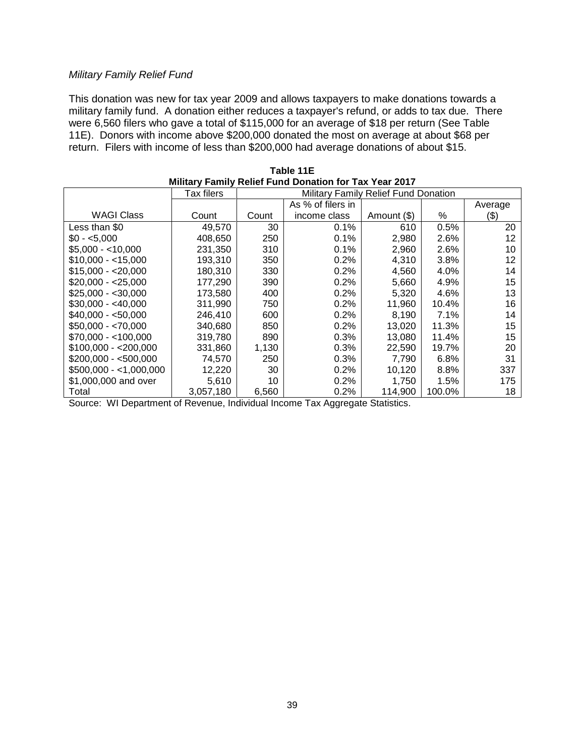#### *Military Family Relief Fund*

This donation was new for tax year 2009 and allows taxpayers to make donations towards a military family fund. A donation either reduces a taxpayer's refund, or adds to tax due. There were 6,560 filers who gave a total of \$115,000 for an average of \$18 per return (See Table 11E). Donors with income above \$200,000 donated the most on average at about \$68 per return. Filers with income of less than \$200,000 had average donations of about \$15.

| <u>Military Family Relief Fund Donation for Tax Year 2017</u> |                   |       |                   |                                      |        |         |  |  |
|---------------------------------------------------------------|-------------------|-------|-------------------|--------------------------------------|--------|---------|--|--|
|                                                               | <b>Tax filers</b> |       |                   | Military Family Relief Fund Donation |        |         |  |  |
|                                                               |                   |       | As % of filers in |                                      |        | Average |  |  |
| <b>WAGI Class</b>                                             | Count             | Count | income class      | Amount (\$)                          | ℅      | (\$)    |  |  |
| Less than \$0                                                 | 49,570            | 30    | 0.1%              | 610                                  | 0.5%   | 20      |  |  |
| $$0 - 5.000$                                                  | 408,650           | 250   | 0.1%              | 2,980                                | 2.6%   | 12      |  |  |
| $$5.000 - $10.000$                                            | 231,350           | 310   | 0.1%              | 2,960                                | 2.6%   | 10      |  |  |
| $$10,000 - < 15,000$                                          | 193,310           | 350   | 0.2%              | 4,310                                | 3.8%   | 12      |  |  |
| $$15,000 - $20,000$                                           | 180,310           | 330   | 0.2%              | 4,560                                | 4.0%   | 14      |  |  |
| \$20,000 - <25,000                                            | 177,290           | 390   | 0.2%              | 5,660                                | 4.9%   | 15      |  |  |
| \$25.000 - <30.000                                            | 173.580           | 400   | 0.2%              | 5,320                                | 4.6%   | 13      |  |  |
| $$30,000 - $40,000$                                           | 311,990           | 750   | 0.2%              | 11,960                               | 10.4%  | 16      |  |  |
| $$40,000 - $50,000$                                           | 246,410           | 600   | 0.2%              | 8,190                                | 7.1%   | 14      |  |  |
| $$50,000 - $70,000$                                           | 340,680           | 850   | 0.2%              | 13,020                               | 11.3%  | 15      |  |  |
| $$70.000 - 100.000$                                           | 319,780           | 890   | 0.3%              | 13,080                               | 11.4%  | 15      |  |  |
| $$100,000 - $200,000$                                         | 331,860           | 1,130 | 0.3%              | 22,590                               | 19.7%  | 20      |  |  |
| $$200,000 - $500,000$                                         | 74,570            | 250   | 0.3%              | 7,790                                | 6.8%   | 31      |  |  |
| $$500,000 - <1,000,000$                                       | 12,220            | 30    | 0.2%              | 10,120                               | 8.8%   | 337     |  |  |
| \$1,000,000 and over                                          | 5.610             | 10    | 0.2%              | 1,750                                | 1.5%   | 175     |  |  |
| Total                                                         | 3,057,180         | 6,560 | 0.2%              | 114.900                              | 100.0% | 18      |  |  |

**Table 11E Military Family Relief Fund Donation for Tax Year 2017**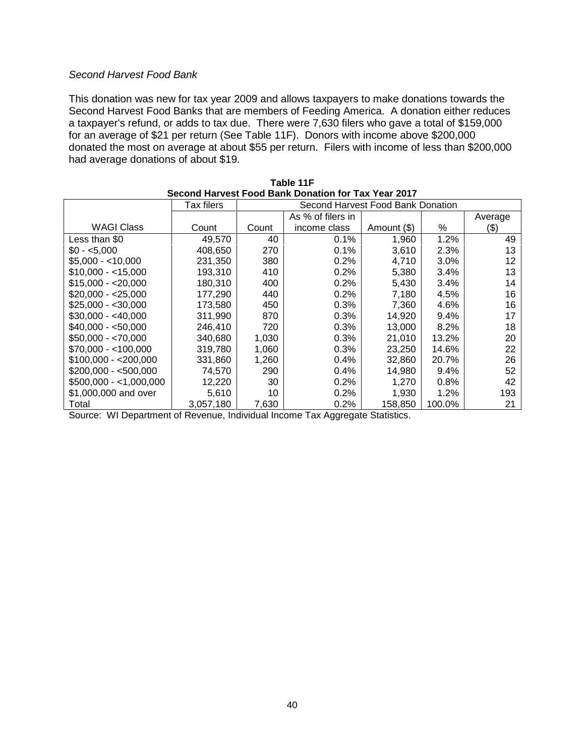#### *Second Harvest Food Bank*

This donation was new for tax year 2009 and allows taxpayers to make donations towards the Second Harvest Food Banks that are members of Feeding America. A donation either reduces a taxpayer's refund, or adds to tax due. There were 7,630 filers who gave a total of \$159,000 for an average of \$21 per return (See Table 11F). Donors with income above \$200,000 donated the most on average at about \$55 per return. Filers with income of less than \$200,000 had average donations of about \$19.

| Second Harvest Food Bank Donation for Tax Year 2017 |            |                                   |                   |             |         |         |
|-----------------------------------------------------|------------|-----------------------------------|-------------------|-------------|---------|---------|
|                                                     | Tax filers | Second Harvest Food Bank Donation |                   |             |         |         |
|                                                     |            |                                   | As % of filers in |             |         | Average |
| <b>WAGI Class</b>                                   | Count      | Count                             | income class      | Amount (\$) | %       | $(\$)$  |
| Less than \$0                                       | 49,570     | 40                                | 0.1%              | 1,960       | 1.2%    | 49      |
| $$0 - 5.000$                                        | 408,650    | 270                               | 0.1%              | 3,610       | 2.3%    | 13      |
| $$5,000 - <10,000$                                  | 231,350    | 380                               | 0.2%              | 4,710       | $3.0\%$ | 12      |
| $$10,000 - < 15,000$                                | 193,310    | 410                               | 0.2%              | 5,380       | 3.4%    | 13      |
| $$15,000 - 20,000$                                  | 180,310    | 400                               | 0.2%              | 5,430       | 3.4%    | 14      |
| $$20,000 - $25,000$                                 | 177,290    | 440                               | 0.2%              | 7,180       | 4.5%    | 16      |
| $$25,000 - $30,000$                                 | 173,580    | 450                               | 0.3%              | 7,360       | 4.6%    | 16      |
| $$30,000 - $40,000$                                 | 311,990    | 870                               | 0.3%              | 14,920      | $9.4\%$ | 17      |
| $$40.000 - $50.000$                                 | 246.410    | 720                               | 0.3%              | 13,000      | 8.2%    | 18      |
| $$50,000 - $70,000$                                 | 340.680    | 1,030                             | 0.3%              | 21,010      | 13.2%   | 20      |
| $$70.000 - 100.000$                                 | 319,780    | 1,060                             | 0.3%              | 23,250      | 14.6%   | 22      |
| $$100,000 - $200,000$                               | 331,860    | 1,260                             | 0.4%              | 32,860      | 20.7%   | 26      |
| $$200,000 - $500,000$                               | 74,570     | 290                               | 0.4%              | 14,980      | $9.4\%$ | 52      |
| $$500,000 - <1,000,000$                             | 12,220     | 30                                | 0.2%              | 1,270       | $0.8\%$ | 42      |
| \$1,000,000 and over                                | 5,610      | 10                                | 0.2%              | 1,930       | 1.2%    | 193     |
| Total                                               | 3,057,180  | 7,630                             | $0.2\%$           | 158,850     | 100.0%  | 21      |

| Table 11F                                           |  |  |
|-----------------------------------------------------|--|--|
| Second Harvest Food Bank Donation for Tax Year 2017 |  |  |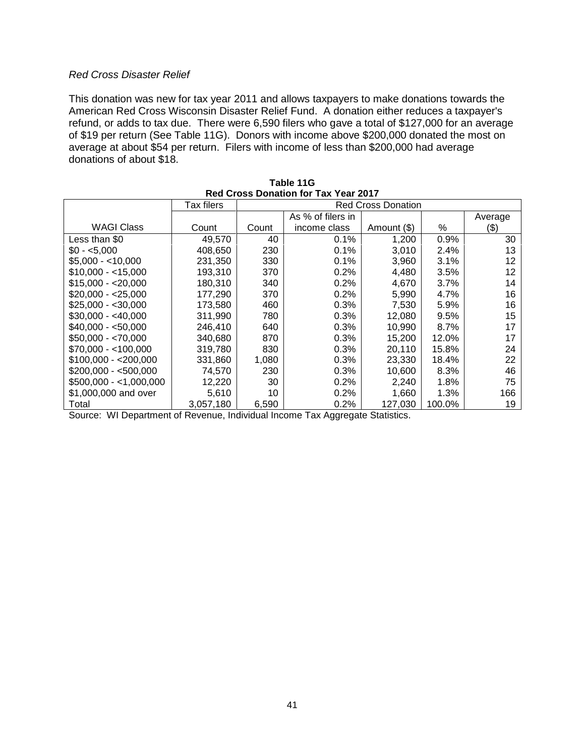#### *Red Cross Disaster Relief*

This donation was new for tax year 2011 and allows taxpayers to make donations towards the American Red Cross Wisconsin Disaster Relief Fund. A donation either reduces a taxpayer's refund, or adds to tax due. There were 6,590 filers who gave a total of \$127,000 for an average of \$19 per return (See Table 11G). Donors with income above \$200,000 donated the most on average at about \$54 per return. Filers with income of less than \$200,000 had average donations of about \$18.

| Red Cross Donation for Tax Year 2017 |            |                           |                   |             |         |         |
|--------------------------------------|------------|---------------------------|-------------------|-------------|---------|---------|
|                                      | Tax filers | <b>Red Cross Donation</b> |                   |             |         |         |
|                                      |            |                           | As % of filers in |             |         | Average |
| <b>WAGI Class</b>                    | Count      | Count                     | income class      | Amount (\$) | %       | (\$)    |
| Less than \$0                        | 49,570     | 40                        | 0.1%              | 1,200       | 0.9%    | 30      |
| $$0 - 5.000$                         | 408,650    | 230                       | 0.1%              | 3,010       | 2.4%    | 13      |
| $$5,000 - < 10,000$                  | 231.350    | 330                       | 0.1%              | 3,960       | 3.1%    | 12      |
| $$10.000 - 15.000$                   | 193,310    | 370                       | 0.2%              | 4,480       | 3.5%    | 12      |
| $$15,000 - $20,000$                  | 180,310    | 340                       | 0.2%              | 4,670       | $3.7\%$ | 14      |
| \$20.000 - <25.000                   | 177,290    | 370                       | 0.2%              | 5,990       | 4.7%    | 16      |
| $$25,000 - $30,000$                  | 173.580    | 460                       | 0.3%              | 7.530       | 5.9%    | 16      |
| $$30,000 - $40,000$                  | 311,990    | 780                       | 0.3%              | 12,080      | 9.5%    | 15      |
| $$40,000 - $50,000$                  | 246.410    | 640                       | 0.3%              | 10,990      | 8.7%    | 17      |
| $$50,000 - $70,000$                  | 340,680    | 870                       | 0.3%              | 15.200      | 12.0%   | 17      |
| $$70,000 - < 100,000$                | 319,780    | 830                       | 0.3%              | 20,110      | 15.8%   | 24      |
| $$100,000 - $200,000$                | 331,860    | 1,080                     | 0.3%              | 23,330      | 18.4%   | 22      |
| \$200,000 - <500,000                 | 74,570     | 230                       | 0.3%              | 10,600      | 8.3%    | 46      |
| $$500,000 - <1,000,000$              | 12,220     | 30                        | 0.2%              | 2,240       | 1.8%    | 75      |
| \$1,000,000 and over                 | 5,610      | 10                        | 0.2%              | 1,660       | 1.3%    | 166     |
| Total                                | 3,057,180  | 6,590                     | 0.2%              | 127,030     | 100.0%  | 19      |

| Table 11G                                   |  |  |  |  |  |
|---------------------------------------------|--|--|--|--|--|
| <b>Red Cross Donation for Tax Year 2017</b> |  |  |  |  |  |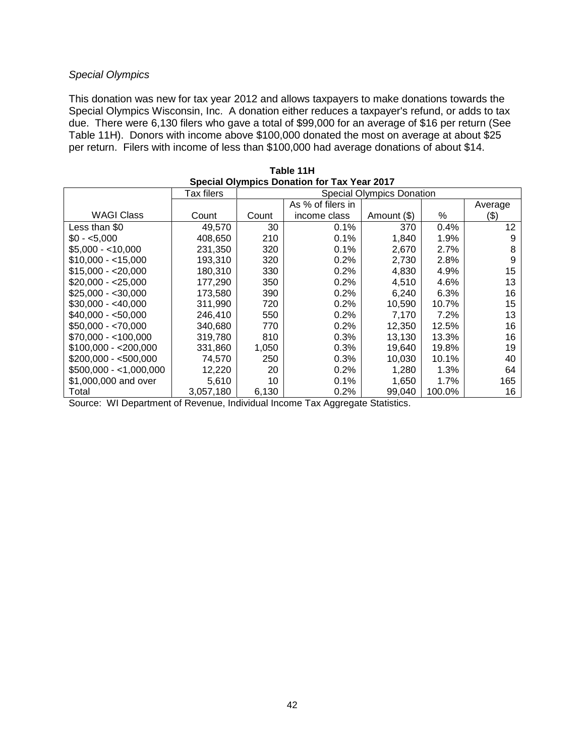### *Special Olympics*

This donation was new for tax year 2012 and allows taxpayers to make donations towards the Special Olympics Wisconsin, Inc. A donation either reduces a taxpayer's refund, or adds to tax due. There were 6,130 filers who gave a total of \$99,000 for an average of \$16 per return (See Table 11H). Donors with income above \$100,000 donated the most on average at about \$25 per return. Filers with income of less than \$100,000 had average donations of about \$14.

| Special Olympics Donation for Tax Year 2017 |            |                                  |                   |             |        |         |  |
|---------------------------------------------|------------|----------------------------------|-------------------|-------------|--------|---------|--|
|                                             | Tax filers | <b>Special Olympics Donation</b> |                   |             |        |         |  |
|                                             |            |                                  | As % of filers in |             |        | Average |  |
| WAGI Class                                  | Count      | Count                            | income class      | Amount (\$) | %      | (\$)    |  |
| Less than \$0                               | 49,570     | 30                               | 0.1%              | 370         | 0.4%   | 12      |  |
| $$0 - 5.000$                                | 408,650    | 210                              | 0.1%              | 1,840       | 1.9%   | 9       |  |
| $$5.000 - 10.000$                           | 231,350    | 320                              | 0.1%              | 2,670       | 2.7%   | 8       |  |
| $$10,000 - 15,000$                          | 193,310    | 320                              | 0.2%              | 2,730       | 2.8%   | 9       |  |
| $$15,000 - $20,000$                         | 180,310    | 330                              | 0.2%              | 4,830       | 4.9%   | 15      |  |
| $$20,000 - $25,000$                         | 177,290    | 350                              | 0.2%              | 4,510       | 4.6%   | 13      |  |
| $$25,000 - $30,000$                         | 173.580    | 390                              | 0.2%              | 6,240       | 6.3%   | 16      |  |
| $$30,000 - $40,000$                         | 311.990    | 720                              | 0.2%              | 10,590      | 10.7%  | 15      |  |
| $$40,000 - $50,000$                         | 246.410    | 550                              | 0.2%              | 7,170       | 7.2%   | 13      |  |
| $$50,000 - $70,000$                         | 340,680    | 770                              | 0.2%              | 12,350      | 12.5%  | 16      |  |
| $$70,000 - < 100,000$                       | 319,780    | 810                              | 0.3%              | 13,130      | 13.3%  | 16      |  |
| $$100,000 - $200,000$                       | 331,860    | 1,050                            | 0.3%              | 19,640      | 19.8%  | 19      |  |
| $$200,000 - $500,000$                       | 74,570     | 250                              | 0.3%              | 10.030      | 10.1%  | 40      |  |
| $$500,000 - <1,000,000$                     | 12,220     | 20                               | 0.2%              | 1,280       | 1.3%   | 64      |  |
| \$1,000,000 and over                        | 5,610      | 10                               | 0.1%              | 1,650       | 1.7%   | 165     |  |
| Total                                       | 3,057,180  | 6,130                            | 0.2%              | 99,040      | 100.0% | 16      |  |

**Table 11H Special Olympics Donation for Tax Year 2017**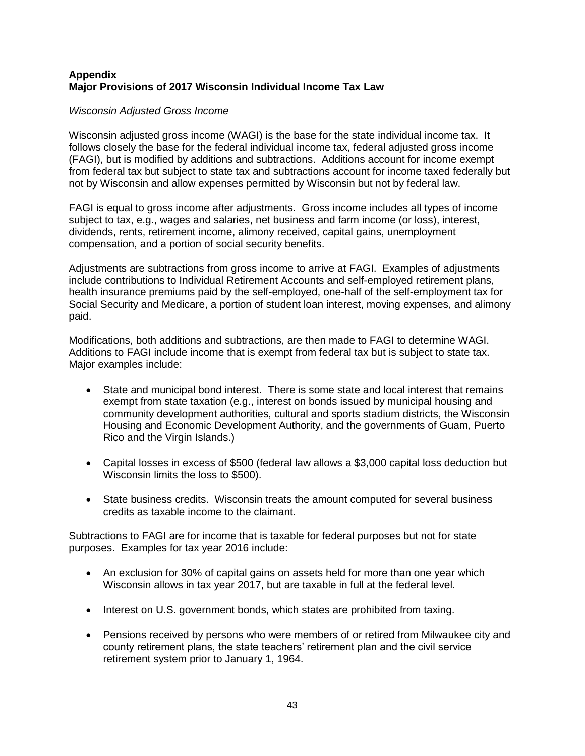# **Appendix Major Provisions of 2017 Wisconsin Individual Income Tax Law**

# *Wisconsin Adjusted Gross Income*

Wisconsin adjusted gross income (WAGI) is the base for the state individual income tax. It follows closely the base for the federal individual income tax, federal adjusted gross income (FAGI), but is modified by additions and subtractions. Additions account for income exempt from federal tax but subject to state tax and subtractions account for income taxed federally but not by Wisconsin and allow expenses permitted by Wisconsin but not by federal law.

FAGI is equal to gross income after adjustments. Gross income includes all types of income subject to tax, e.g., wages and salaries, net business and farm income (or loss), interest, dividends, rents, retirement income, alimony received, capital gains, unemployment compensation, and a portion of social security benefits.

Adjustments are subtractions from gross income to arrive at FAGI. Examples of adjustments include contributions to Individual Retirement Accounts and self-employed retirement plans, health insurance premiums paid by the self-employed, one-half of the self-employment tax for Social Security and Medicare, a portion of student loan interest, moving expenses, and alimony paid.

Modifications, both additions and subtractions, are then made to FAGI to determine WAGI. Additions to FAGI include income that is exempt from federal tax but is subject to state tax. Major examples include:

- State and municipal bond interest. There is some state and local interest that remains exempt from state taxation (e.g., interest on bonds issued by municipal housing and community development authorities, cultural and sports stadium districts, the Wisconsin Housing and Economic Development Authority, and the governments of Guam, Puerto Rico and the Virgin Islands.)
- Capital losses in excess of \$500 (federal law allows a \$3,000 capital loss deduction but Wisconsin limits the loss to \$500).
- State business credits. Wisconsin treats the amount computed for several business credits as taxable income to the claimant.

Subtractions to FAGI are for income that is taxable for federal purposes but not for state purposes. Examples for tax year 2016 include:

- An exclusion for 30% of capital gains on assets held for more than one year which Wisconsin allows in tax year 2017, but are taxable in full at the federal level.
- Interest on U.S. government bonds, which states are prohibited from taxing.
- Pensions received by persons who were members of or retired from Milwaukee city and county retirement plans, the state teachers' retirement plan and the civil service retirement system prior to January 1, 1964.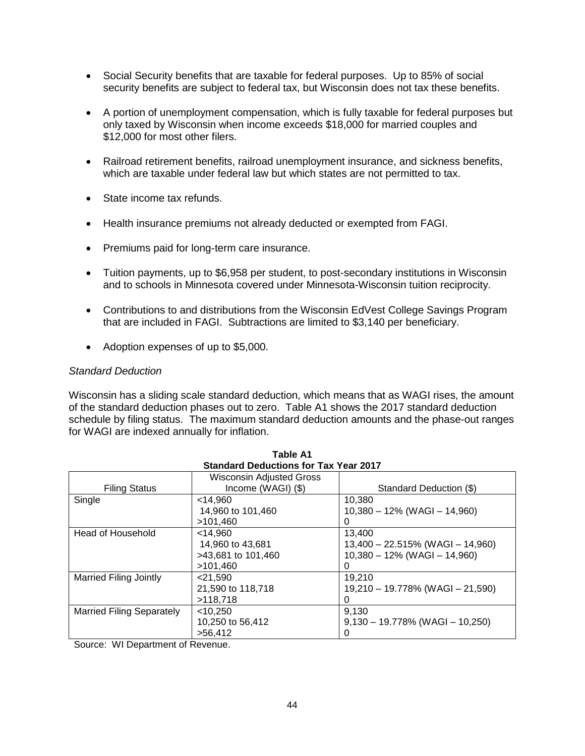- Social Security benefits that are taxable for federal purposes. Up to 85% of social security benefits are subject to federal tax, but Wisconsin does not tax these benefits.
- A portion of unemployment compensation, which is fully taxable for federal purposes but only taxed by Wisconsin when income exceeds \$18,000 for married couples and \$12,000 for most other filers.
- Railroad retirement benefits, railroad unemployment insurance, and sickness benefits, which are taxable under federal law but which states are not permitted to tax.
- State income tax refunds.
- Health insurance premiums not already deducted or exempted from FAGI.
- Premiums paid for long-term care insurance.
- Tuition payments, up to \$6,958 per student, to post-secondary institutions in Wisconsin and to schools in Minnesota covered under Minnesota-Wisconsin tuition reciprocity.
- Contributions to and distributions from the Wisconsin EdVest College Savings Program that are included in FAGI. Subtractions are limited to \$3,140 per beneficiary.
- Adoption expenses of up to \$5,000.

#### *Standard Deduction*

Wisconsin has a sliding scale standard deduction, which means that as WAGI rises, the amount of the standard deduction phases out to zero. Table A1 shows the 2017 standard deduction schedule by filing status. The maximum standard deduction amounts and the phase-out ranges for WAGI are indexed annually for inflation.

| <b>Standard Deductions for Tax Year 2017</b> |                                     |  |  |  |  |
|----------------------------------------------|-------------------------------------|--|--|--|--|
| <b>Wisconsin Adjusted Gross</b>              |                                     |  |  |  |  |
| Income (WAGI) (\$)                           | Standard Deduction (\$)             |  |  |  |  |
| $<$ 14.960                                   | 10,380                              |  |  |  |  |
| 14,960 to 101,460                            | $10,380 - 12\%$ (WAGI - 14,960)     |  |  |  |  |
| >101,460                                     | 0                                   |  |  |  |  |
| $<$ 14,960                                   | 13.400                              |  |  |  |  |
| 14,960 to 43,681                             | $13,400 - 22.515\%$ (WAGI - 14,960) |  |  |  |  |
| >43,681 to 101,460                           | $10,380 - 12\%$ (WAGI - 14,960)     |  |  |  |  |
| >101,460                                     | 0                                   |  |  |  |  |
| 21,590                                       | 19,210                              |  |  |  |  |
| 21,590 to 118,718                            | 19,210 - 19.778% (WAGI - 21,590)    |  |  |  |  |
| >118,718                                     |                                     |  |  |  |  |
| $<$ 10,250                                   | 9,130                               |  |  |  |  |
| 10,250 to 56,412                             | $9,130 - 19.778\%$ (WAGI - 10,250)  |  |  |  |  |
| >56,412                                      | 0                                   |  |  |  |  |
|                                              |                                     |  |  |  |  |

**Table A1**

Source: WI Department of Revenue.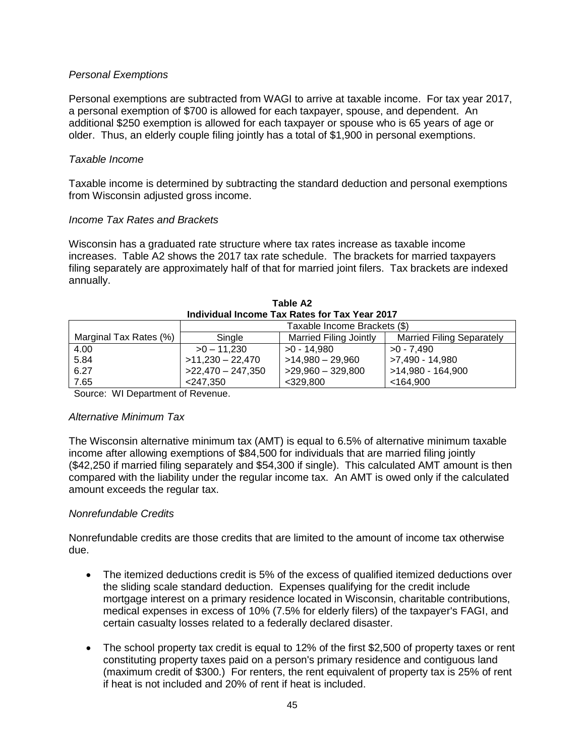## *Personal Exemptions*

Personal exemptions are subtracted from WAGI to arrive at taxable income. For tax year 2017, a personal exemption of \$700 is allowed for each taxpayer, spouse, and dependent. An additional \$250 exemption is allowed for each taxpayer or spouse who is 65 years of age or older. Thus, an elderly couple filing jointly has a total of \$1,900 in personal exemptions.

### *Taxable Income*

Taxable income is determined by subtracting the standard deduction and personal exemptions from Wisconsin adjusted gross income.

### *Income Tax Rates and Brackets*

Wisconsin has a graduated rate structure where tax rates increase as taxable income increases. Table A2 shows the 2017 tax rate schedule. The brackets for married taxpayers filing separately are approximately half of that for married joint filers. Tax brackets are indexed annually.

| Individual Income Tax Rates for Tax Year 2017 |                              |                               |                                  |  |  |  |
|-----------------------------------------------|------------------------------|-------------------------------|----------------------------------|--|--|--|
|                                               | Taxable Income Brackets (\$) |                               |                                  |  |  |  |
| Marginal Tax Rates (%)                        | Single                       | <b>Married Filing Jointly</b> | <b>Married Filing Separately</b> |  |  |  |
| 4.00                                          | $>0 - 11.230$                | $>0 - 14.980$                 | $>0 - 7.490$                     |  |  |  |
| 5.84                                          | $>11,230 - 22,470$           | $>14,980 - 29,960$            | >7,490 - 14,980                  |  |  |  |
| 6.27                                          | $>22,470-247,350$            | $>29,960 - 329,800$           | >14,980 - 164,900                |  |  |  |
| 7.65                                          | $<$ 247,350                  | $<$ 329,800                   | $<$ 164,900                      |  |  |  |

| Table A2                                     |  |
|----------------------------------------------|--|
| ndividual Income Tax Rates for Tax Year 2017 |  |

Source: WI Department of Revenue.

#### *Alternative Minimum Tax*

The Wisconsin alternative minimum tax (AMT) is equal to 6.5% of alternative minimum taxable income after allowing exemptions of \$84,500 for individuals that are married filing jointly (\$42,250 if married filing separately and \$54,300 if single). This calculated AMT amount is then compared with the liability under the regular income tax. An AMT is owed only if the calculated amount exceeds the regular tax.

# *Nonrefundable Credits*

Nonrefundable credits are those credits that are limited to the amount of income tax otherwise due.

- The itemized deductions credit is 5% of the excess of qualified itemized deductions over the sliding scale standard deduction. Expenses qualifying for the credit include mortgage interest on a primary residence located in Wisconsin, charitable contributions, medical expenses in excess of 10% (7.5% for elderly filers) of the taxpayer's FAGI, and certain casualty losses related to a federally declared disaster.
- The school property tax credit is equal to 12% of the first \$2,500 of property taxes or rent constituting property taxes paid on a person's primary residence and contiguous land (maximum credit of \$300.) For renters, the rent equivalent of property tax is 25% of rent if heat is not included and 20% of rent if heat is included.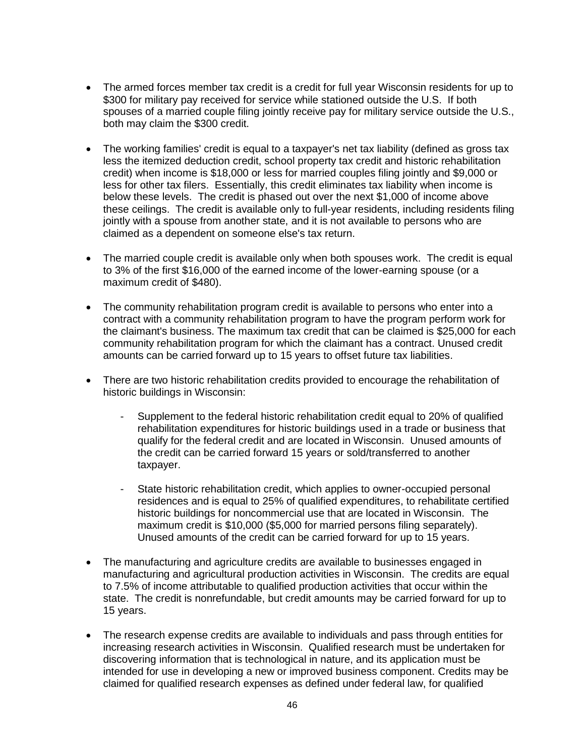- The armed forces member tax credit is a credit for full year Wisconsin residents for up to \$300 for military pay received for service while stationed outside the U.S. If both spouses of a married couple filing jointly receive pay for military service outside the U.S., both may claim the \$300 credit.
- The working families' credit is equal to a taxpayer's net tax liability (defined as gross tax less the itemized deduction credit, school property tax credit and historic rehabilitation credit) when income is \$18,000 or less for married couples filing jointly and \$9,000 or less for other tax filers. Essentially, this credit eliminates tax liability when income is below these levels. The credit is phased out over the next \$1,000 of income above these ceilings. The credit is available only to full-year residents, including residents filing jointly with a spouse from another state, and it is not available to persons who are claimed as a dependent on someone else's tax return.
- The married couple credit is available only when both spouses work. The credit is equal to 3% of the first \$16,000 of the earned income of the lower-earning spouse (or a maximum credit of \$480).
- The community rehabilitation program credit is available to persons who enter into a contract with a community rehabilitation program to have the program perform work for the claimant's business. The maximum tax credit that can be claimed is \$25,000 for each community rehabilitation program for which the claimant has a contract. Unused credit amounts can be carried forward up to 15 years to offset future tax liabilities.
- There are two historic rehabilitation credits provided to encourage the rehabilitation of historic buildings in Wisconsin:
	- Supplement to the federal historic rehabilitation credit equal to 20% of qualified rehabilitation expenditures for historic buildings used in a trade or business that qualify for the federal credit and are located in Wisconsin. Unused amounts of the credit can be carried forward 15 years or sold/transferred to another taxpayer.
	- State historic rehabilitation credit, which applies to owner-occupied personal residences and is equal to 25% of qualified expenditures, to rehabilitate certified historic buildings for noncommercial use that are located in Wisconsin. The maximum credit is \$10,000 (\$5,000 for married persons filing separately). Unused amounts of the credit can be carried forward for up to 15 years.
- The manufacturing and agriculture credits are available to businesses engaged in manufacturing and agricultural production activities in Wisconsin. The credits are equal to 7.5% of income attributable to qualified production activities that occur within the state. The credit is nonrefundable, but credit amounts may be carried forward for up to 15 years.
- The research expense credits are available to individuals and pass through entities for increasing research activities in Wisconsin. Qualified research must be undertaken for discovering information that is technological in nature, and its application must be intended for use in developing a new or improved business component. Credits may be claimed for qualified research expenses as defined under federal law, for qualified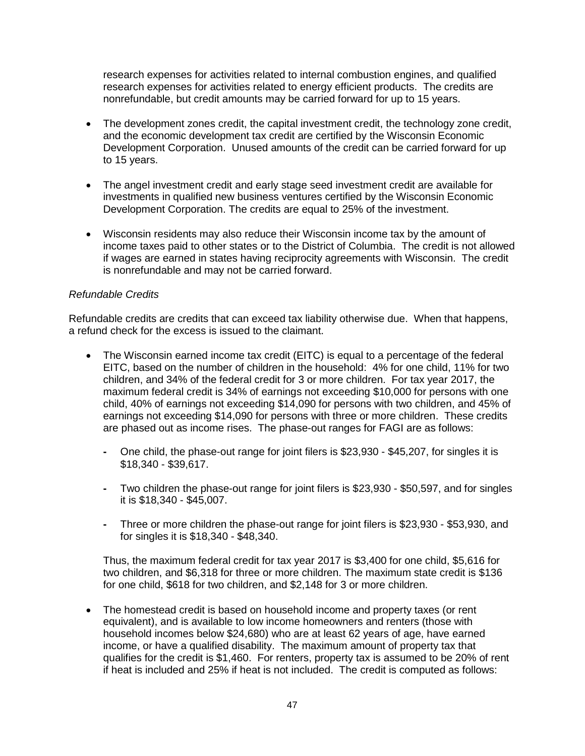research expenses for activities related to internal combustion engines, and qualified research expenses for activities related to energy efficient products. The credits are nonrefundable, but credit amounts may be carried forward for up to 15 years.

- The development zones credit, the capital investment credit, the technology zone credit, and the economic development tax credit are certified by the Wisconsin Economic Development Corporation. Unused amounts of the credit can be carried forward for up to 15 years.
- The angel investment credit and early stage seed investment credit are available for investments in qualified new business ventures certified by the Wisconsin Economic Development Corporation. The credits are equal to 25% of the investment.
- Wisconsin residents may also reduce their Wisconsin income tax by the amount of income taxes paid to other states or to the District of Columbia. The credit is not allowed if wages are earned in states having reciprocity agreements with Wisconsin. The credit is nonrefundable and may not be carried forward.

# *Refundable Credits*

Refundable credits are credits that can exceed tax liability otherwise due. When that happens, a refund check for the excess is issued to the claimant.

- The Wisconsin earned income tax credit (EITC) is equal to a percentage of the federal EITC, based on the number of children in the household: 4% for one child, 11% for two children, and 34% of the federal credit for 3 or more children. For tax year 2017, the maximum federal credit is 34% of earnings not exceeding \$10,000 for persons with one child, 40% of earnings not exceeding \$14,090 for persons with two children, and 45% of earnings not exceeding \$14,090 for persons with three or more children. These credits are phased out as income rises. The phase-out ranges for FAGI are as follows:
	- **-** One child, the phase-out range for joint filers is \$23,930 \$45,207, for singles it is \$18,340 - \$39,617.
	- **-** Two children the phase-out range for joint filers is \$23,930 \$50,597, and for singles it is \$18,340 - \$45,007.
	- **-** Three or more children the phase-out range for joint filers is \$23,930 \$53,930, and for singles it is \$18,340 - \$48,340.

Thus, the maximum federal credit for tax year 2017 is \$3,400 for one child, \$5,616 for two children, and \$6,318 for three or more children. The maximum state credit is \$136 for one child, \$618 for two children, and \$2,148 for 3 or more children.

 The homestead credit is based on household income and property taxes (or rent equivalent), and is available to low income homeowners and renters (those with household incomes below \$24,680) who are at least 62 years of age, have earned income, or have a qualified disability. The maximum amount of property tax that qualifies for the credit is \$1,460. For renters, property tax is assumed to be 20% of rent if heat is included and 25% if heat is not included. The credit is computed as follows: